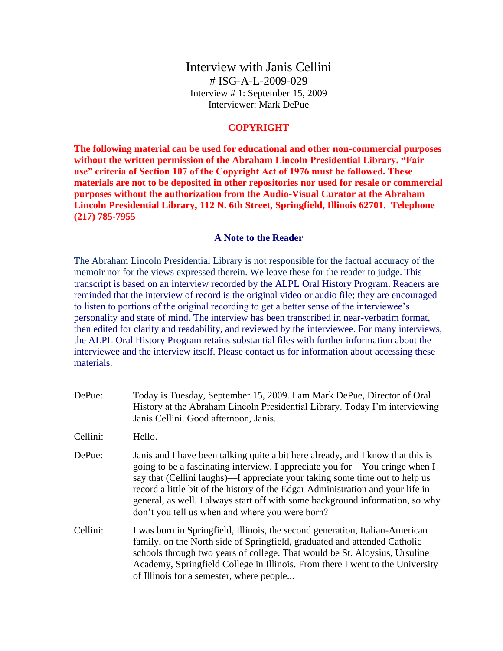Interview with Janis Cellini # ISG-A-L-2009-029 Interview # 1: September 15, 2009 Interviewer: Mark DePue

## **COPYRIGHT**

**The following material can be used for educational and other non-commercial purposes without the written permission of the Abraham Lincoln Presidential Library. "Fair use" criteria of Section 107 of the Copyright Act of 1976 must be followed. These materials are not to be deposited in other repositories nor used for resale or commercial purposes without the authorization from the Audio-Visual Curator at the Abraham Lincoln Presidential Library, 112 N. 6th Street, Springfield, Illinois 62701. Telephone (217) 785-7955**

## **A Note to the Reader**

The Abraham Lincoln Presidential Library is not responsible for the factual accuracy of the memoir nor for the views expressed therein. We leave these for the reader to judge. This transcript is based on an interview recorded by the ALPL Oral History Program. Readers are reminded that the interview of record is the original video or audio file; they are encouraged to listen to portions of the original recording to get a better sense of the interviewee's personality and state of mind. The interview has been transcribed in near-verbatim format, then edited for clarity and readability, and reviewed by the interviewee. For many interviews, the ALPL Oral History Program retains substantial files with further information about the interviewee and the interview itself. Please contact us for information about accessing these materials.

DePue: Today is Tuesday, September 15, 2009. I am Mark DePue, Director of Oral History at the Abraham Lincoln Presidential Library. Today I'm interviewing Janis Cellini. Good afternoon, Janis.

Cellini: Hello.

- DePue: Janis and I have been talking quite a bit here already, and I know that this is going to be a fascinating interview. I appreciate you for—You cringe when I say that (Cellini laughs)—I appreciate your taking some time out to help us record a little bit of the history of the Edgar Administration and your life in general, as well. I always start off with some background information, so why don't you tell us when and where you were born?
- Cellini: I was born in Springfield, Illinois, the second generation, Italian-American family, on the North side of Springfield, graduated and attended Catholic schools through two years of college. That would be St. Aloysius, Ursuline Academy, Springfield College in Illinois. From there I went to the University of Illinois for a semester, where people...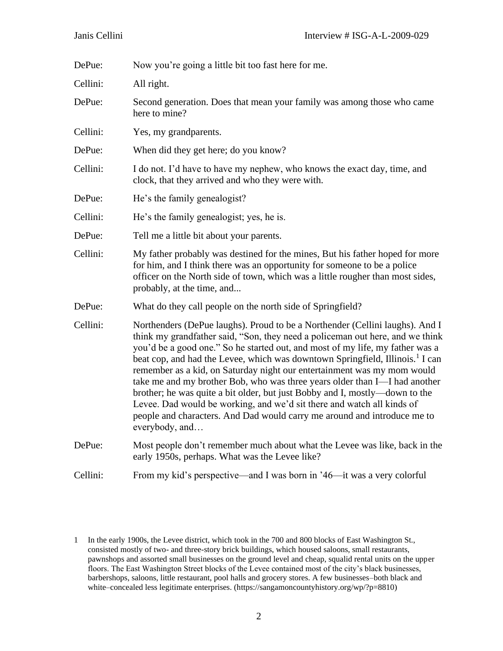| DePue:   | Now you're going a little bit too fast here for me.                                                                                                                                                                                                                                                                                                                                                                                                                                                                                                                                                                                                                                                                                                         |  |
|----------|-------------------------------------------------------------------------------------------------------------------------------------------------------------------------------------------------------------------------------------------------------------------------------------------------------------------------------------------------------------------------------------------------------------------------------------------------------------------------------------------------------------------------------------------------------------------------------------------------------------------------------------------------------------------------------------------------------------------------------------------------------------|--|
| Cellini: | All right.                                                                                                                                                                                                                                                                                                                                                                                                                                                                                                                                                                                                                                                                                                                                                  |  |
| DePue:   | Second generation. Does that mean your family was among those who came<br>here to mine?                                                                                                                                                                                                                                                                                                                                                                                                                                                                                                                                                                                                                                                                     |  |
| Cellini: | Yes, my grandparents.                                                                                                                                                                                                                                                                                                                                                                                                                                                                                                                                                                                                                                                                                                                                       |  |
| DePue:   | When did they get here; do you know?                                                                                                                                                                                                                                                                                                                                                                                                                                                                                                                                                                                                                                                                                                                        |  |
| Cellini: | I do not. I'd have to have my nephew, who knows the exact day, time, and<br>clock, that they arrived and who they were with.                                                                                                                                                                                                                                                                                                                                                                                                                                                                                                                                                                                                                                |  |
| DePue:   | He's the family genealogist?                                                                                                                                                                                                                                                                                                                                                                                                                                                                                                                                                                                                                                                                                                                                |  |
| Cellini: | He's the family genealogist; yes, he is.                                                                                                                                                                                                                                                                                                                                                                                                                                                                                                                                                                                                                                                                                                                    |  |
| DePue:   | Tell me a little bit about your parents.                                                                                                                                                                                                                                                                                                                                                                                                                                                                                                                                                                                                                                                                                                                    |  |
| Cellini: | My father probably was destined for the mines, But his father hoped for more<br>for him, and I think there was an opportunity for someone to be a police<br>officer on the North side of town, which was a little rougher than most sides,<br>probably, at the time, and                                                                                                                                                                                                                                                                                                                                                                                                                                                                                    |  |
| DePue:   | What do they call people on the north side of Springfield?                                                                                                                                                                                                                                                                                                                                                                                                                                                                                                                                                                                                                                                                                                  |  |
| Cellini: | Northenders (DePue laughs). Proud to be a Northender (Cellini laughs). And I<br>think my grandfather said, "Son, they need a policeman out here, and we think<br>you'd be a good one." So he started out, and most of my life, my father was a<br>beat cop, and had the Levee, which was downtown Springfield, Illinois. <sup>1</sup> I can<br>remember as a kid, on Saturday night our entertainment was my mom would<br>take me and my brother Bob, who was three years older than I—I had another<br>brother; he was quite a bit older, but just Bobby and I, mostly—down to the<br>Levee. Dad would be working, and we'd sit there and watch all kinds of<br>people and characters. And Dad would carry me around and introduce me to<br>everybody, and |  |
| DePue:   | Most people don't remember much about what the Levee was like, back in the<br>early 1950s, perhaps. What was the Levee like?                                                                                                                                                                                                                                                                                                                                                                                                                                                                                                                                                                                                                                |  |
| Cellini: | From my kid's perspective—and I was born in '46—it was a very colorful                                                                                                                                                                                                                                                                                                                                                                                                                                                                                                                                                                                                                                                                                      |  |

<sup>1</sup> In the early 1900s, the Levee district, which took in the 700 and 800 blocks of East Washington St., consisted mostly of two- and three-story brick buildings, which housed saloons, small restaurants, pawnshops and assorted small businesses on the ground level and cheap, squalid rental units on the upper floors. The East Washington Street blocks of the Levee contained most of the city's black businesses, barbershops, saloons, little restaurant, pool halls and grocery stores. A few businesses–both black and white–concealed less legitimate enterprises. (https://sangamoncountyhistory.org/wp/?p=8810)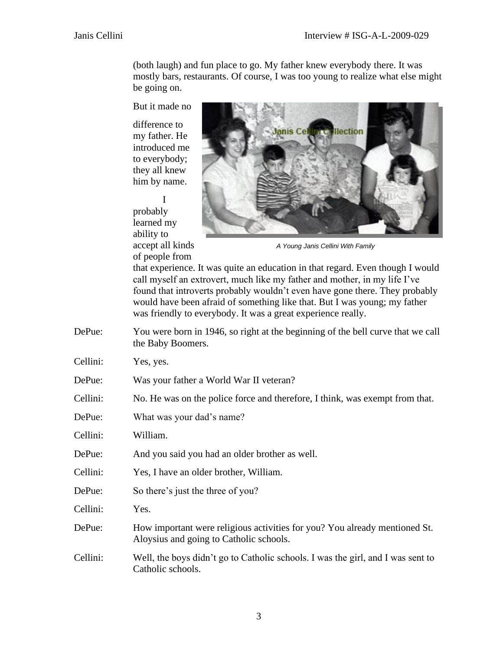(both laugh) and fun place to go. My father knew everybody there. It was mostly bars, restaurants. Of course, I was too young to realize what else might be going on.

But it made no

difference to my father. He introduced me to everybody; they all knew him by name.

I probably learned my ability to accept all kinds of people from



*A Young Janis Cellini With Family*

that experience. It was quite an education in that regard. Even though I would call myself an extrovert, much like my father and mother, in my life I've found that introverts probably wouldn't even have gone there. They probably would have been afraid of something like that. But I was young; my father was friendly to everybody. It was a great experience really.

DePue: You were born in 1946, so right at the beginning of the bell curve that we call the Baby Boomers.

Cellini: Yes, yes.

- DePue: Was your father a World War II veteran?
- Cellini: No. He was on the police force and therefore, I think, was exempt from that.
- DePue: What was your dad's name?
- Cellini: William.
- DePue: And you said you had an older brother as well.
- Cellini: Yes, I have an older brother, William.
- DePue: So there's just the three of you?
- Cellini: Yes.
- DePue: How important were religious activities for you? You already mentioned St. Aloysius and going to Catholic schools.
- Cellini: Well, the boys didn't go to Catholic schools. I was the girl, and I was sent to Catholic schools.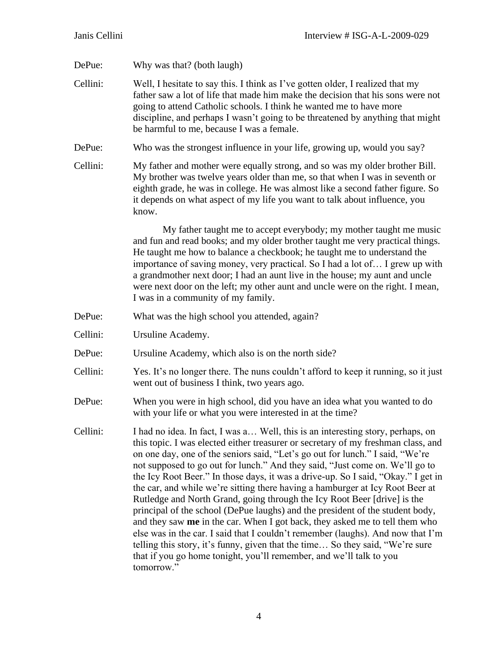DePue: Why was that? (both laugh)

Cellini: Well, I hesitate to say this. I think as I've gotten older, I realized that my father saw a lot of life that made him make the decision that his sons were not going to attend Catholic schools. I think he wanted me to have more discipline, and perhaps I wasn't going to be threatened by anything that might be harmful to me, because I was a female.

DePue: Who was the strongest influence in your life, growing up, would you say?

Cellini: My father and mother were equally strong, and so was my older brother Bill. My brother was twelve years older than me, so that when I was in seventh or eighth grade, he was in college. He was almost like a second father figure. So it depends on what aspect of my life you want to talk about influence, you know.

> My father taught me to accept everybody; my mother taught me music and fun and read books; and my older brother taught me very practical things. He taught me how to balance a checkbook; he taught me to understand the importance of saving money, very practical. So I had a lot of… I grew up with a grandmother next door; I had an aunt live in the house; my aunt and uncle were next door on the left; my other aunt and uncle were on the right. I mean, I was in a community of my family.

- DePue: What was the high school you attended, again?
- Cellini: Ursuline Academy.
- DePue: Ursuline Academy, which also is on the north side?
- Cellini: Yes. It's no longer there. The nuns couldn't afford to keep it running, so it just went out of business I think, two years ago.
- DePue: When you were in high school, did you have an idea what you wanted to do with your life or what you were interested in at the time?
- Cellini: I had no idea. In fact, I was a… Well, this is an interesting story, perhaps, on this topic. I was elected either treasurer or secretary of my freshman class, and on one day, one of the seniors said, "Let's go out for lunch." I said, "We're not supposed to go out for lunch." And they said, "Just come on. We'll go to the Icy Root Beer." In those days, it was a drive-up. So I said, "Okay." I get in the car, and while we're sitting there having a hamburger at Icy Root Beer at Rutledge and North Grand, going through the Icy Root Beer [drive] is the principal of the school (DePue laughs) and the president of the student body, and they saw **me** in the car. When I got back, they asked me to tell them who else was in the car. I said that I couldn't remember (laughs). And now that I'm telling this story, it's funny, given that the time… So they said, "We're sure that if you go home tonight, you'll remember, and we'll talk to you tomorrow."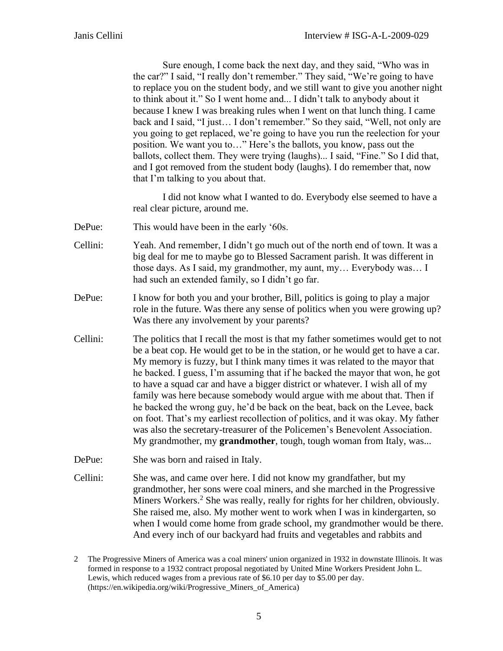Sure enough, I come back the next day, and they said, "Who was in the car?" I said, "I really don't remember." They said, "We're going to have to replace you on the student body, and we still want to give you another night to think about it." So I went home and... I didn't talk to anybody about it because I knew I was breaking rules when I went on that lunch thing. I came back and I said, "I just… I don't remember." So they said, "Well, not only are you going to get replaced, we're going to have you run the reelection for your position. We want you to…" Here's the ballots, you know, pass out the ballots, collect them. They were trying (laughs)... I said, "Fine." So I did that, and I got removed from the student body (laughs). I do remember that, now that I'm talking to you about that.

I did not know what I wanted to do. Everybody else seemed to have a real clear picture, around me.

- DePue: This would have been in the early '60s.
- Cellini: Yeah. And remember, I didn't go much out of the north end of town. It was a big deal for me to maybe go to Blessed Sacrament parish. It was different in those days. As I said, my grandmother, my aunt, my… Everybody was… I had such an extended family, so I didn't go far.
- DePue: I know for both you and your brother, Bill, politics is going to play a major role in the future. Was there any sense of politics when you were growing up? Was there any involvement by your parents?
- Cellini: The politics that I recall the most is that my father sometimes would get to not be a beat cop. He would get to be in the station, or he would get to have a car. My memory is fuzzy, but I think many times it was related to the mayor that he backed. I guess, I'm assuming that if he backed the mayor that won, he got to have a squad car and have a bigger district or whatever. I wish all of my family was here because somebody would argue with me about that. Then if he backed the wrong guy, he'd be back on the beat, back on the Levee, back on foot. That's my earliest recollection of politics, and it was okay. My father was also the secretary-treasurer of the Policemen's Benevolent Association. My grandmother, my **grandmother**, tough, tough woman from Italy, was...
- DePue: She was born and raised in Italy.
- Cellini: She was, and came over here. I did not know my grandfather, but my grandmother, her sons were coal miners, and she marched in the Progressive Miners Workers.<sup>2</sup> She was really, really for rights for her children, obviously. She raised me, also. My mother went to work when I was in kindergarten, so when I would come home from grade school, my grandmother would be there. And every inch of our backyard had fruits and vegetables and rabbits and

<sup>2</sup> The Progressive Miners of America was a coal miners' union organized in 1932 in downstate Illinois. It was formed in response to a 1932 contract proposal negotiated by United Mine Workers President John L. Lewis, which reduced wages from a previous rate of \$6.10 per day to \$5.00 per day. (https://en.wikipedia.org/wiki/Progressive\_Miners\_of\_America)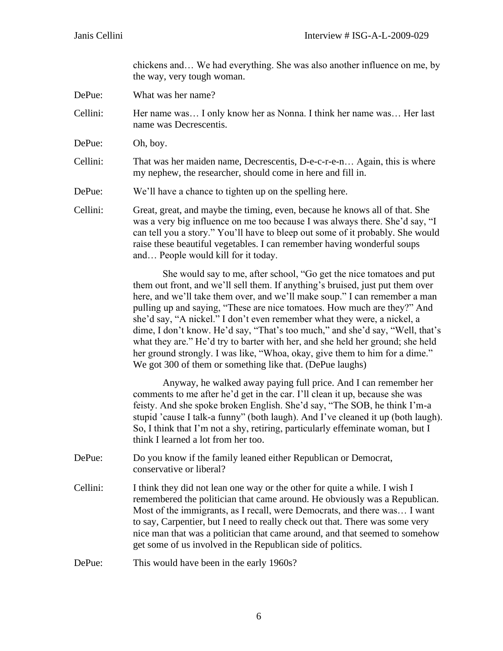chickens and… We had everything. She was also another influence on me, by the way, very tough woman.

- DePue: What was her name?
- Cellini: Her name was… I only know her as Nonna. I think her name was… Her last name was Decrescentis.
- DePue: Oh, boy.
- Cellini: That was her maiden name, Decrescentis, D-e-c-r-e-n… Again, this is where my nephew, the researcher, should come in here and fill in.
- DePue: We'll have a chance to tighten up on the spelling here.
- Cellini: Great, great, and maybe the timing, even, because he knows all of that. She was a very big influence on me too because I was always there. She'd say, "I can tell you a story." You'll have to bleep out some of it probably. She would raise these beautiful vegetables. I can remember having wonderful soups and… People would kill for it today.

She would say to me, after school, "Go get the nice tomatoes and put them out front, and we'll sell them. If anything's bruised, just put them over here, and we'll take them over, and we'll make soup." I can remember a man pulling up and saying, "These are nice tomatoes. How much are they?" And she'd say, "A nickel." I don't even remember what they were, a nickel, a dime, I don't know. He'd say, "That's too much," and she'd say, "Well, that's what they are." He'd try to barter with her, and she held her ground; she held her ground strongly. I was like, "Whoa, okay, give them to him for a dime." We got 300 of them or something like that. (DePue laughs)

Anyway, he walked away paying full price. And I can remember her comments to me after he'd get in the car. I'll clean it up, because she was feisty. And she spoke broken English. She'd say, "The SOB, he think I'm-a stupid 'cause I talk-a funny" (both laugh). And I've cleaned it up (both laugh). So, I think that I'm not a shy, retiring, particularly effeminate woman, but I think I learned a lot from her too.

DePue: Do you know if the family leaned either Republican or Democrat, conservative or liberal?

Cellini: I think they did not lean one way or the other for quite a while. I wish I remembered the politician that came around. He obviously was a Republican. Most of the immigrants, as I recall, were Democrats, and there was… I want to say, Carpentier, but I need to really check out that. There was some very nice man that was a politician that came around, and that seemed to somehow get some of us involved in the Republican side of politics.

DePue: This would have been in the early 1960s?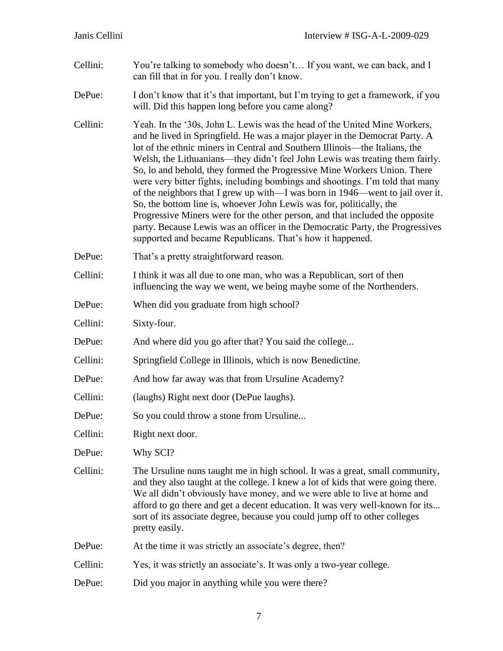- Cellini: You're talking to somebody who doesn't… If you want, we can back, and I can fill that in for you. I really don't know.
- DePue: I don't know that it's that important, but I'm trying to get a framework, if you will. Did this happen long before you came along?
- Cellini: Yeah. In the '30s, John L. Lewis was the head of the United Mine Workers, and he lived in Springfield. He was a major player in the Democrat Party. A lot of the ethnic miners in Central and Southern Illinois—the Italians, the Welsh, the Lithuanians—they didn't feel John Lewis was treating them fairly. So, lo and behold, they formed the Progressive Mine Workers Union. There were very bitter fights, including bombings and shootings. I'm told that many of the neighbors that I grew up with—I was born in 1946—went to jail over it. So, the bottom line is, whoever John Lewis was for, politically, the Progressive Miners were for the other person, and that included the opposite party. Because Lewis was an officer in the Democratic Party, the Progressives supported and became Republicans. That's how it happened.
- DePue: That's a pretty straightforward reason.
- Cellini: I think it was all due to one man, who was a Republican, sort of then influencing the way we went, we being maybe some of the Northenders.
- DePue: When did you graduate from high school?
- Cellini: Sixty-four.
- DePue: And where did you go after that? You said the college...
- Cellini: Springfield College in Illinois, which is now Benedictine.
- DePue: And how far away was that from Ursuline Academy?
- Cellini: (laughs) Right next door (DePue laughs).
- DePue: So you could throw a stone from Ursuline...
- Cellini: Right next door.
- DePue: Why SCI?
- Cellini: The Ursuline nuns taught me in high school. It was a great, small community, and they also taught at the college. I knew a lot of kids that were going there. We all didn't obviously have money, and we were able to live at home and afford to go there and get a decent education. It was very well-known for its... sort of its associate degree, because you could jump off to other colleges pretty easily.
- DePue: At the time it was strictly an associate's degree, then?
- Cellini: Yes, it was strictly an associate's. It was only a two-year college.
- DePue: Did you major in anything while you were there?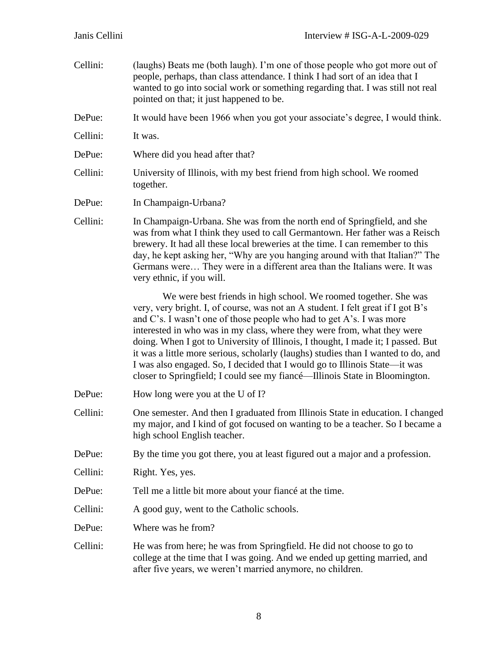| Cellini: | (laughs) Beats me (both laugh). I'm one of those people who got more out of<br>people, perhaps, than class attendance. I think I had sort of an idea that I<br>wanted to go into social work or something regarding that. I was still not real<br>pointed on that; it just happened to be.                                                                                                                                                                                                                                                                                                                                                    |  |
|----------|-----------------------------------------------------------------------------------------------------------------------------------------------------------------------------------------------------------------------------------------------------------------------------------------------------------------------------------------------------------------------------------------------------------------------------------------------------------------------------------------------------------------------------------------------------------------------------------------------------------------------------------------------|--|
| DePue:   | It would have been 1966 when you got your associate's degree, I would think.                                                                                                                                                                                                                                                                                                                                                                                                                                                                                                                                                                  |  |
| Cellini: | It was.                                                                                                                                                                                                                                                                                                                                                                                                                                                                                                                                                                                                                                       |  |
| DePue:   | Where did you head after that?                                                                                                                                                                                                                                                                                                                                                                                                                                                                                                                                                                                                                |  |
| Cellini: | University of Illinois, with my best friend from high school. We roomed<br>together.                                                                                                                                                                                                                                                                                                                                                                                                                                                                                                                                                          |  |
| DePue:   | In Champaign-Urbana?                                                                                                                                                                                                                                                                                                                                                                                                                                                                                                                                                                                                                          |  |
| Cellini: | In Champaign-Urbana. She was from the north end of Springfield, and she<br>was from what I think they used to call Germantown. Her father was a Reisch<br>brewery. It had all these local breweries at the time. I can remember to this<br>day, he kept asking her, "Why are you hanging around with that Italian?" The<br>Germans were They were in a different area than the Italians were. It was<br>very ethnic, if you will.                                                                                                                                                                                                             |  |
|          | We were best friends in high school. We roomed together. She was<br>very, very bright. I, of course, was not an A student. I felt great if I got B's<br>and C's. I wasn't one of those people who had to get A's. I was more<br>interested in who was in my class, where they were from, what they were<br>doing. When I got to University of Illinois, I thought, I made it; I passed. But<br>it was a little more serious, scholarly (laughs) studies than I wanted to do, and<br>I was also engaged. So, I decided that I would go to Illinois State—it was<br>closer to Springfield; I could see my fiancé—Illinois State in Bloomington. |  |
| DePue:   | How long were you at the U of I?                                                                                                                                                                                                                                                                                                                                                                                                                                                                                                                                                                                                              |  |
| Cellini: | One semester. And then I graduated from Illinois State in education. I changed<br>my major, and I kind of got focused on wanting to be a teacher. So I became a<br>high school English teacher.                                                                                                                                                                                                                                                                                                                                                                                                                                               |  |
| DePue:   | By the time you got there, you at least figured out a major and a profession.                                                                                                                                                                                                                                                                                                                                                                                                                                                                                                                                                                 |  |
| Cellini: | Right. Yes, yes.                                                                                                                                                                                                                                                                                                                                                                                                                                                                                                                                                                                                                              |  |
| DePue:   | Tell me a little bit more about your fiance at the time.                                                                                                                                                                                                                                                                                                                                                                                                                                                                                                                                                                                      |  |
| Cellini: | A good guy, went to the Catholic schools.                                                                                                                                                                                                                                                                                                                                                                                                                                                                                                                                                                                                     |  |
| DePue:   | Where was he from?                                                                                                                                                                                                                                                                                                                                                                                                                                                                                                                                                                                                                            |  |
| Cellini: | He was from here; he was from Springfield. He did not choose to go to<br>college at the time that I was going. And we ended up getting married, and<br>after five years, we weren't married anymore, no children.                                                                                                                                                                                                                                                                                                                                                                                                                             |  |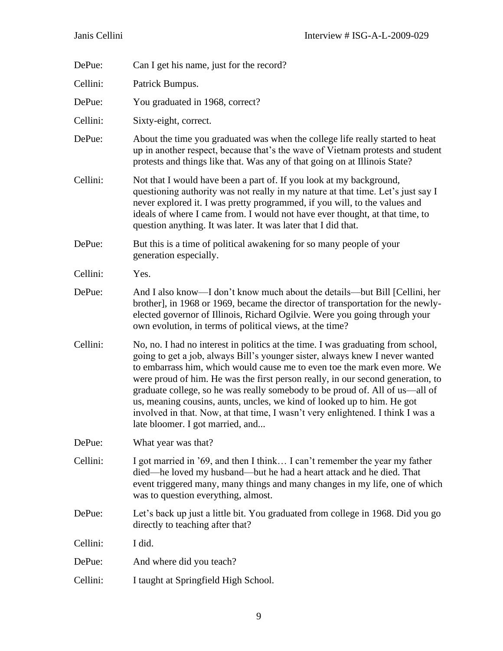| DePue:   | Can I get his name, just for the record?                                                                                                                                                                                                                                                                                                                                                                                                                                                                                                                                                                            |  |
|----------|---------------------------------------------------------------------------------------------------------------------------------------------------------------------------------------------------------------------------------------------------------------------------------------------------------------------------------------------------------------------------------------------------------------------------------------------------------------------------------------------------------------------------------------------------------------------------------------------------------------------|--|
| Cellini: | Patrick Bumpus.                                                                                                                                                                                                                                                                                                                                                                                                                                                                                                                                                                                                     |  |
| DePue:   | You graduated in 1968, correct?                                                                                                                                                                                                                                                                                                                                                                                                                                                                                                                                                                                     |  |
| Cellini: | Sixty-eight, correct.                                                                                                                                                                                                                                                                                                                                                                                                                                                                                                                                                                                               |  |
| DePue:   | About the time you graduated was when the college life really started to heat<br>up in another respect, because that's the wave of Vietnam protests and student<br>protests and things like that. Was any of that going on at Illinois State?                                                                                                                                                                                                                                                                                                                                                                       |  |
| Cellini: | Not that I would have been a part of. If you look at my background,<br>questioning authority was not really in my nature at that time. Let's just say I<br>never explored it. I was pretty programmed, if you will, to the values and<br>ideals of where I came from. I would not have ever thought, at that time, to<br>question anything. It was later. It was later that I did that.                                                                                                                                                                                                                             |  |
| DePue:   | But this is a time of political awakening for so many people of your<br>generation especially.                                                                                                                                                                                                                                                                                                                                                                                                                                                                                                                      |  |
| Cellini: | Yes.                                                                                                                                                                                                                                                                                                                                                                                                                                                                                                                                                                                                                |  |
| DePue:   | And I also know—I don't know much about the details—but Bill [Cellini, her<br>brother], in 1968 or 1969, became the director of transportation for the newly-<br>elected governor of Illinois, Richard Ogilvie. Were you going through your<br>own evolution, in terms of political views, at the time?                                                                                                                                                                                                                                                                                                             |  |
| Cellini: | No, no. I had no interest in politics at the time. I was graduating from school,<br>going to get a job, always Bill's younger sister, always knew I never wanted<br>to embarrass him, which would cause me to even toe the mark even more. We<br>were proud of him. He was the first person really, in our second generation, to<br>graduate college, so he was really somebody to be proud of. All of us—all of<br>us, meaning cousins, aunts, uncles, we kind of looked up to him. He got<br>involved in that. Now, at that time, I wasn't very enlightened. I think I was a<br>late bloomer. I got married, and. |  |
| DePue:   | What year was that?                                                                                                                                                                                                                                                                                                                                                                                                                                                                                                                                                                                                 |  |
| Cellini: | I got married in '69, and then I think I can't remember the year my father<br>died—he loved my husband—but he had a heart attack and he died. That<br>event triggered many, many things and many changes in my life, one of which<br>was to question everything, almost.                                                                                                                                                                                                                                                                                                                                            |  |
| DePue:   | Let's back up just a little bit. You graduated from college in 1968. Did you go<br>directly to teaching after that?                                                                                                                                                                                                                                                                                                                                                                                                                                                                                                 |  |
| Cellini: | I did.                                                                                                                                                                                                                                                                                                                                                                                                                                                                                                                                                                                                              |  |
| DePue:   | And where did you teach?                                                                                                                                                                                                                                                                                                                                                                                                                                                                                                                                                                                            |  |
| Cellini: | I taught at Springfield High School.                                                                                                                                                                                                                                                                                                                                                                                                                                                                                                                                                                                |  |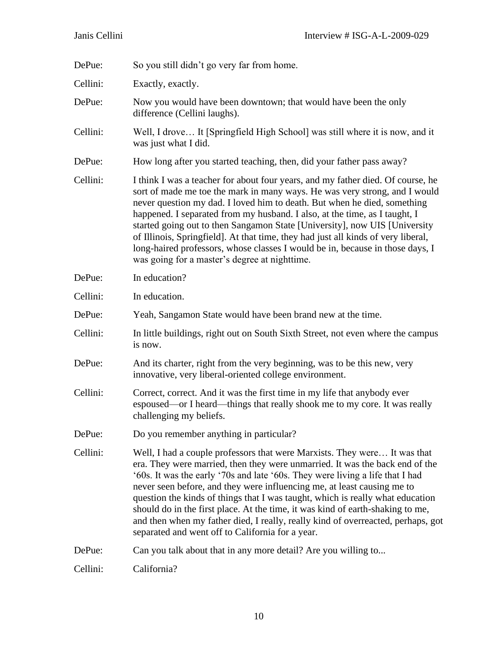| DePue:   | So you still didn't go very far from home.                                                                                                                                                                                                                                                                                                                                                                                                                                                                                                                                                                                        |  |  |
|----------|-----------------------------------------------------------------------------------------------------------------------------------------------------------------------------------------------------------------------------------------------------------------------------------------------------------------------------------------------------------------------------------------------------------------------------------------------------------------------------------------------------------------------------------------------------------------------------------------------------------------------------------|--|--|
| Cellini: | Exactly, exactly.                                                                                                                                                                                                                                                                                                                                                                                                                                                                                                                                                                                                                 |  |  |
| DePue:   | Now you would have been downtown; that would have been the only<br>difference (Cellini laughs).                                                                                                                                                                                                                                                                                                                                                                                                                                                                                                                                   |  |  |
| Cellini: | Well, I drove It [Springfield High School] was still where it is now, and it<br>was just what I did.                                                                                                                                                                                                                                                                                                                                                                                                                                                                                                                              |  |  |
| DePue:   | How long after you started teaching, then, did your father pass away?                                                                                                                                                                                                                                                                                                                                                                                                                                                                                                                                                             |  |  |
| Cellini: | I think I was a teacher for about four years, and my father died. Of course, he<br>sort of made me toe the mark in many ways. He was very strong, and I would<br>never question my dad. I loved him to death. But when he died, something<br>happened. I separated from my husband. I also, at the time, as I taught, I<br>started going out to then Sangamon State [University], now UIS [University]<br>of Illinois, Springfield]. At that time, they had just all kinds of very liberal,<br>long-haired professors, whose classes I would be in, because in those days, I<br>was going for a master's degree at nighttime.     |  |  |
| DePue:   | In education?                                                                                                                                                                                                                                                                                                                                                                                                                                                                                                                                                                                                                     |  |  |
| Cellini: | In education.                                                                                                                                                                                                                                                                                                                                                                                                                                                                                                                                                                                                                     |  |  |
| DePue:   | Yeah, Sangamon State would have been brand new at the time.                                                                                                                                                                                                                                                                                                                                                                                                                                                                                                                                                                       |  |  |
| Cellini: | In little buildings, right out on South Sixth Street, not even where the campus<br>is now.                                                                                                                                                                                                                                                                                                                                                                                                                                                                                                                                        |  |  |
| DePue:   | And its charter, right from the very beginning, was to be this new, very<br>innovative, very liberal-oriented college environment.                                                                                                                                                                                                                                                                                                                                                                                                                                                                                                |  |  |
| Cellini: | Correct, correct. And it was the first time in my life that anybody ever<br>espoused—or I heard—things that really shook me to my core. It was really<br>challenging my beliefs.                                                                                                                                                                                                                                                                                                                                                                                                                                                  |  |  |
| DePue:   | Do you remember anything in particular?                                                                                                                                                                                                                                                                                                                                                                                                                                                                                                                                                                                           |  |  |
| Cellini: | Well, I had a couple professors that were Marxists. They were It was that<br>era. They were married, then they were unmarried. It was the back end of the<br>'60s. It was the early '70s and late '60s. They were living a life that I had<br>never seen before, and they were influencing me, at least causing me to<br>question the kinds of things that I was taught, which is really what education<br>should do in the first place. At the time, it was kind of earth-shaking to me,<br>and then when my father died, I really, really kind of overreacted, perhaps, got<br>separated and went off to California for a year. |  |  |
| DePue:   | Can you talk about that in any more detail? Are you willing to                                                                                                                                                                                                                                                                                                                                                                                                                                                                                                                                                                    |  |  |
| Cellini: | California?                                                                                                                                                                                                                                                                                                                                                                                                                                                                                                                                                                                                                       |  |  |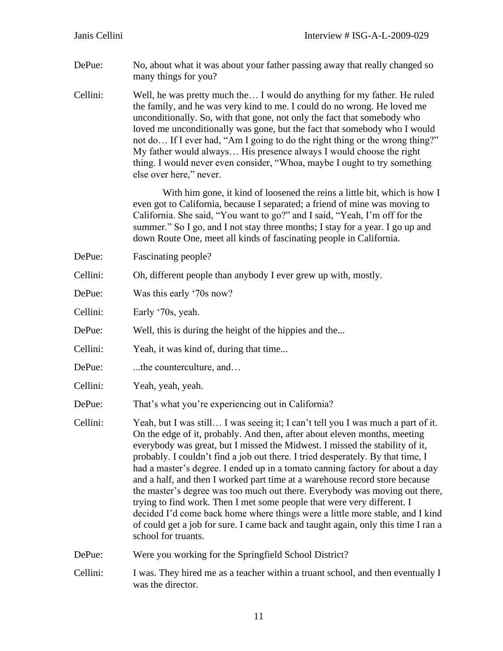- DePue: No, about what it was about your father passing away that really changed so many things for you?
- Cellini: Well, he was pretty much the… I would do anything for my father. He ruled the family, and he was very kind to me. I could do no wrong. He loved me unconditionally. So, with that gone, not only the fact that somebody who loved me unconditionally was gone, but the fact that somebody who I would not do… If I ever had, "Am I going to do the right thing or the wrong thing?" My father would always… His presence always I would choose the right thing. I would never even consider, "Whoa, maybe I ought to try something else over here," never.

With him gone, it kind of loosened the reins a little bit, which is how I even got to California, because I separated; a friend of mine was moving to California. She said, "You want to go?" and I said, "Yeah, I'm off for the summer." So I go, and I not stay three months; I stay for a year. I go up and down Route One, meet all kinds of fascinating people in California.

DePue: Fascinating people?

Cellini: Oh, different people than anybody I ever grew up with, mostly.

DePue: Was this early '70s now?

Cellini: Early '70s, yeah.

DePue: Well, this is during the height of the hippies and the...

Cellini: Yeah, it was kind of, during that time...

- DePue: ...the counterculture, and...
- Cellini: Yeah, yeah, yeah.
- DePue: That's what you're experiencing out in California?
- Cellini: Yeah, but I was still… I was seeing it; I can't tell you I was much a part of it. On the edge of it, probably. And then, after about eleven months, meeting everybody was great, but I missed the Midwest. I missed the stability of it, probably. I couldn't find a job out there. I tried desperately. By that time, I had a master's degree. I ended up in a tomato canning factory for about a day and a half, and then I worked part time at a warehouse record store because the master's degree was too much out there. Everybody was moving out there, trying to find work. Then I met some people that were very different. I decided I'd come back home where things were a little more stable, and I kind of could get a job for sure. I came back and taught again, only this time I ran a school for truants.

DePue: Were you working for the Springfield School District?

Cellini: I was. They hired me as a teacher within a truant school, and then eventually I was the director.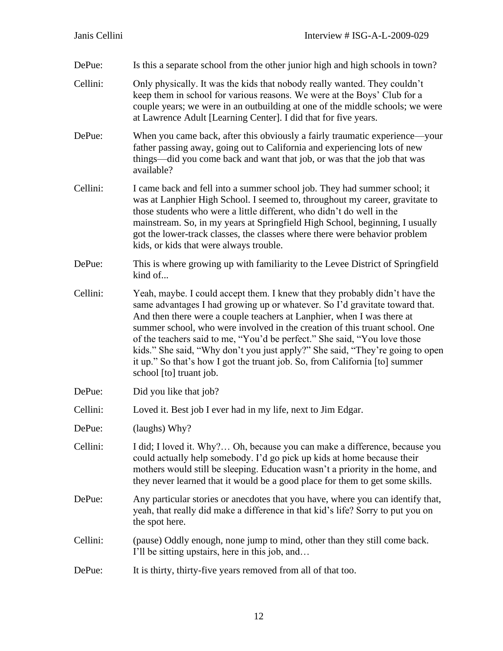| DePue:   | Is this a separate school from the other junior high and high schools in town?                                                                                                                                                                                                                                                                                                                                                                                                                                                                                                              |  |
|----------|---------------------------------------------------------------------------------------------------------------------------------------------------------------------------------------------------------------------------------------------------------------------------------------------------------------------------------------------------------------------------------------------------------------------------------------------------------------------------------------------------------------------------------------------------------------------------------------------|--|
| Cellini: | Only physically. It was the kids that nobody really wanted. They couldn't<br>keep them in school for various reasons. We were at the Boys' Club for a<br>couple years; we were in an outbuilding at one of the middle schools; we were<br>at Lawrence Adult [Learning Center]. I did that for five years.                                                                                                                                                                                                                                                                                   |  |
| DePue:   | When you came back, after this obviously a fairly traumatic experience—your<br>father passing away, going out to California and experiencing lots of new<br>things—did you come back and want that job, or was that the job that was<br>available?                                                                                                                                                                                                                                                                                                                                          |  |
| Cellini: | I came back and fell into a summer school job. They had summer school; it<br>was at Lanphier High School. I seemed to, throughout my career, gravitate to<br>those students who were a little different, who didn't do well in the<br>mainstream. So, in my years at Springfield High School, beginning, I usually<br>got the lower-track classes, the classes where there were behavior problem<br>kids, or kids that were always trouble.                                                                                                                                                 |  |
| DePue:   | This is where growing up with familiarity to the Levee District of Springfield<br>kind of                                                                                                                                                                                                                                                                                                                                                                                                                                                                                                   |  |
| Cellini: | Yeah, maybe. I could accept them. I knew that they probably didn't have the<br>same advantages I had growing up or whatever. So I'd gravitate toward that.<br>And then there were a couple teachers at Lanphier, when I was there at<br>summer school, who were involved in the creation of this truant school. One<br>of the teachers said to me, "You'd be perfect." She said, "You love those<br>kids." She said, "Why don't you just apply?" She said, "They're going to open<br>it up." So that's how I got the truant job. So, from California [to] summer<br>school [to] truant job. |  |
| DePue:   | Did you like that job?                                                                                                                                                                                                                                                                                                                                                                                                                                                                                                                                                                      |  |
| Cellini: | Loved it. Best job I ever had in my life, next to Jim Edgar.                                                                                                                                                                                                                                                                                                                                                                                                                                                                                                                                |  |
| DePue:   | (laughs) Why?                                                                                                                                                                                                                                                                                                                                                                                                                                                                                                                                                                               |  |
| Cellini: | I did; I loved it. Why? Oh, because you can make a difference, because you<br>could actually help somebody. I'd go pick up kids at home because their<br>mothers would still be sleeping. Education wasn't a priority in the home, and<br>they never learned that it would be a good place for them to get some skills.                                                                                                                                                                                                                                                                     |  |
| DePue:   | Any particular stories or anecdotes that you have, where you can identify that,<br>yeah, that really did make a difference in that kid's life? Sorry to put you on<br>the spot here.                                                                                                                                                                                                                                                                                                                                                                                                        |  |
| Cellini: | (pause) Oddly enough, none jump to mind, other than they still come back.<br>I'll be sitting upstairs, here in this job, and                                                                                                                                                                                                                                                                                                                                                                                                                                                                |  |
| DePue:   | It is thirty, thirty-five years removed from all of that too.                                                                                                                                                                                                                                                                                                                                                                                                                                                                                                                               |  |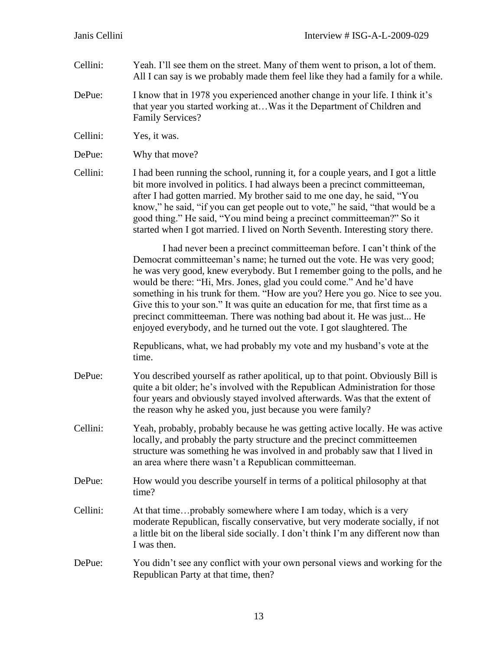- Cellini: Yeah. I'll see them on the street. Many of them went to prison, a lot of them. All I can say is we probably made them feel like they had a family for a while.
- DePue: I know that in 1978 you experienced another change in your life. I think it's that year you started working at…Was it the Department of Children and Family Services?
- Cellini: Yes, it was.
- DePue: Why that move?
- Cellini: I had been running the school, running it, for a couple years, and I got a little bit more involved in politics. I had always been a precinct committeeman, after I had gotten married. My brother said to me one day, he said, "You know," he said, "if you can get people out to vote," he said, "that would be a good thing." He said, "You mind being a precinct committeeman?" So it started when I got married. I lived on North Seventh. Interesting story there.

I had never been a precinct committeeman before. I can't think of the Democrat committeeman's name; he turned out the vote. He was very good; he was very good, knew everybody. But I remember going to the polls, and he would be there: "Hi, Mrs. Jones, glad you could come." And he'd have something in his trunk for them. "How are you? Here you go. Nice to see you. Give this to your son." It was quite an education for me, that first time as a precinct committeeman. There was nothing bad about it. He was just... He enjoyed everybody, and he turned out the vote. I got slaughtered. The

Republicans, what, we had probably my vote and my husband's vote at the time.

- DePue: You described yourself as rather apolitical, up to that point. Obviously Bill is quite a bit older; he's involved with the Republican Administration for those four years and obviously stayed involved afterwards. Was that the extent of the reason why he asked you, just because you were family?
- Cellini: Yeah, probably, probably because he was getting active locally. He was active locally, and probably the party structure and the precinct committeemen structure was something he was involved in and probably saw that I lived in an area where there wasn't a Republican committeeman.
- DePue: How would you describe yourself in terms of a political philosophy at that time?
- Cellini: At that time…probably somewhere where I am today, which is a very moderate Republican, fiscally conservative, but very moderate socially, if not a little bit on the liberal side socially. I don't think I'm any different now than I was then.
- DePue: You didn't see any conflict with your own personal views and working for the Republican Party at that time, then?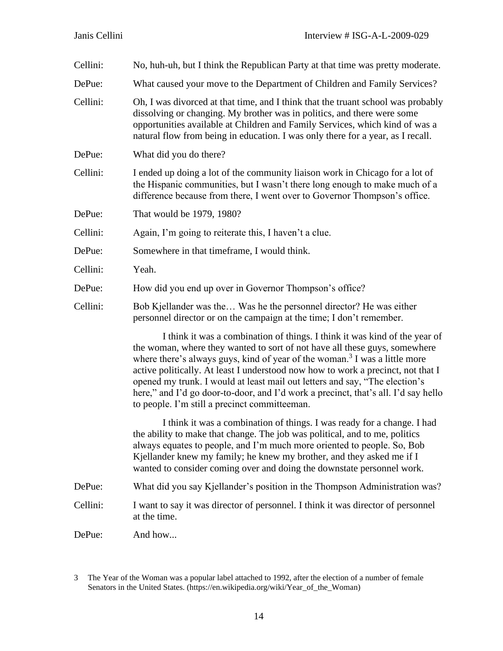| Cellini: | No, huh-uh, but I think the Republican Party at that time was pretty moderate.                                                                                                                                                                                                                                                                                                                                                                                                                                                                               |  |  |
|----------|--------------------------------------------------------------------------------------------------------------------------------------------------------------------------------------------------------------------------------------------------------------------------------------------------------------------------------------------------------------------------------------------------------------------------------------------------------------------------------------------------------------------------------------------------------------|--|--|
| DePue:   | What caused your move to the Department of Children and Family Services?                                                                                                                                                                                                                                                                                                                                                                                                                                                                                     |  |  |
| Cellini: | Oh, I was divorced at that time, and I think that the truant school was probably<br>dissolving or changing. My brother was in politics, and there were some<br>opportunities available at Children and Family Services, which kind of was a<br>natural flow from being in education. I was only there for a year, as I recall.                                                                                                                                                                                                                               |  |  |
| DePue:   | What did you do there?                                                                                                                                                                                                                                                                                                                                                                                                                                                                                                                                       |  |  |
| Cellini: | I ended up doing a lot of the community liaison work in Chicago for a lot of<br>the Hispanic communities, but I wasn't there long enough to make much of a<br>difference because from there, I went over to Governor Thompson's office.                                                                                                                                                                                                                                                                                                                      |  |  |
| DePue:   | That would be 1979, 1980?                                                                                                                                                                                                                                                                                                                                                                                                                                                                                                                                    |  |  |
| Cellini: | Again, I'm going to reiterate this, I haven't a clue.                                                                                                                                                                                                                                                                                                                                                                                                                                                                                                        |  |  |
| DePue:   | Somewhere in that timeframe, I would think.                                                                                                                                                                                                                                                                                                                                                                                                                                                                                                                  |  |  |
| Cellini: | Yeah.                                                                                                                                                                                                                                                                                                                                                                                                                                                                                                                                                        |  |  |
| DePue:   | How did you end up over in Governor Thompson's office?                                                                                                                                                                                                                                                                                                                                                                                                                                                                                                       |  |  |
| Cellini: | Bob Kjellander was the Was he the personnel director? He was either<br>personnel director or on the campaign at the time; I don't remember.                                                                                                                                                                                                                                                                                                                                                                                                                  |  |  |
|          | I think it was a combination of things. I think it was kind of the year of<br>the woman, where they wanted to sort of not have all these guys, somewhere<br>where there's always guys, kind of year of the woman. <sup>3</sup> I was a little more<br>active politically. At least I understood now how to work a precinct, not that I<br>opened my trunk. I would at least mail out letters and say, "The election's<br>here," and I'd go door-to-door, and I'd work a precinct, that's all. I'd say hello<br>to people. I'm still a precinct committeeman. |  |  |
|          | I think it was a combination of things. I was ready for a change. I had<br>the ability to make that change. The job was political, and to me, politics<br>always equates to people, and I'm much more oriented to people. So, Bob<br>Kjellander knew my family; he knew my brother, and they asked me if I<br>wanted to consider coming over and doing the downstate personnel work.                                                                                                                                                                         |  |  |
| DePue:   | What did you say Kjellander's position in the Thompson Administration was?                                                                                                                                                                                                                                                                                                                                                                                                                                                                                   |  |  |
| Cellini: | I want to say it was director of personnel. I think it was director of personnel<br>at the time.                                                                                                                                                                                                                                                                                                                                                                                                                                                             |  |  |
| DePue:   | And how                                                                                                                                                                                                                                                                                                                                                                                                                                                                                                                                                      |  |  |
|          |                                                                                                                                                                                                                                                                                                                                                                                                                                                                                                                                                              |  |  |

<sup>3</sup> The Year of the Woman was a popular label attached to 1992, after the election of a number of female Senators in the United States. (https://en.wikipedia.org/wiki/Year\_of\_the\_Woman)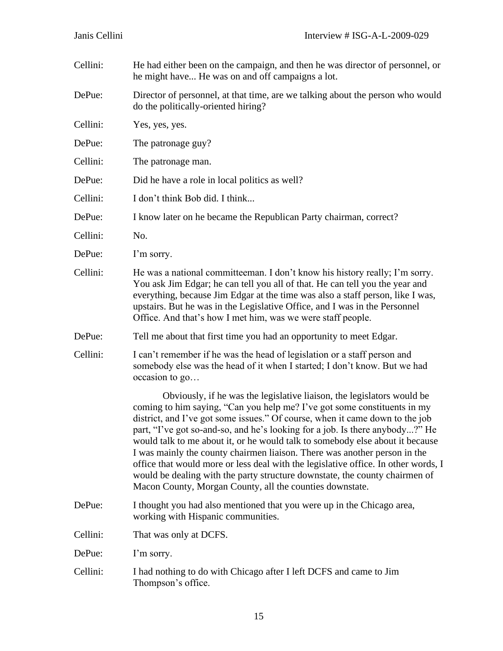| Cellini: | He had either been on the campaign, and then he was director of personnel, or<br>he might have He was on and off campaigns a lot.                                                                                                                                                                                                                                                                                                                                                                                                                                                                                                                                                                                 |  |  |
|----------|-------------------------------------------------------------------------------------------------------------------------------------------------------------------------------------------------------------------------------------------------------------------------------------------------------------------------------------------------------------------------------------------------------------------------------------------------------------------------------------------------------------------------------------------------------------------------------------------------------------------------------------------------------------------------------------------------------------------|--|--|
| DePue:   | Director of personnel, at that time, are we talking about the person who would<br>do the politically-oriented hiring?                                                                                                                                                                                                                                                                                                                                                                                                                                                                                                                                                                                             |  |  |
| Cellini: | Yes, yes, yes.                                                                                                                                                                                                                                                                                                                                                                                                                                                                                                                                                                                                                                                                                                    |  |  |
| DePue:   | The patronage guy?                                                                                                                                                                                                                                                                                                                                                                                                                                                                                                                                                                                                                                                                                                |  |  |
| Cellini: | The patronage man.                                                                                                                                                                                                                                                                                                                                                                                                                                                                                                                                                                                                                                                                                                |  |  |
| DePue:   | Did he have a role in local politics as well?                                                                                                                                                                                                                                                                                                                                                                                                                                                                                                                                                                                                                                                                     |  |  |
| Cellini: | I don't think Bob did. I think                                                                                                                                                                                                                                                                                                                                                                                                                                                                                                                                                                                                                                                                                    |  |  |
| DePue:   | I know later on he became the Republican Party chairman, correct?                                                                                                                                                                                                                                                                                                                                                                                                                                                                                                                                                                                                                                                 |  |  |
| Cellini: | No.                                                                                                                                                                                                                                                                                                                                                                                                                                                                                                                                                                                                                                                                                                               |  |  |
| DePue:   | I'm sorry.                                                                                                                                                                                                                                                                                                                                                                                                                                                                                                                                                                                                                                                                                                        |  |  |
| Cellini: | He was a national committeeman. I don't know his history really; I'm sorry.<br>You ask Jim Edgar; he can tell you all of that. He can tell you the year and<br>everything, because Jim Edgar at the time was also a staff person, like I was,<br>upstairs. But he was in the Legislative Office, and I was in the Personnel<br>Office. And that's how I met him, was we were staff people.                                                                                                                                                                                                                                                                                                                        |  |  |
| DePue:   | Tell me about that first time you had an opportunity to meet Edgar.                                                                                                                                                                                                                                                                                                                                                                                                                                                                                                                                                                                                                                               |  |  |
| Cellini: | I can't remember if he was the head of legislation or a staff person and<br>somebody else was the head of it when I started; I don't know. But we had<br>occasion to go                                                                                                                                                                                                                                                                                                                                                                                                                                                                                                                                           |  |  |
|          | Obviously, if he was the legislative liaison, the legislators would be<br>coming to him saying, "Can you help me? I've got some constituents in my<br>district, and I've got some issues." Of course, when it came down to the job<br>part, "I've got so-and-so, and he's looking for a job. Is there anybody?" He<br>would talk to me about it, or he would talk to somebody else about it because<br>I was mainly the county chairmen liaison. There was another person in the<br>office that would more or less deal with the legislative office. In other words, I<br>would be dealing with the party structure downstate, the county chairmen of<br>Macon County, Morgan County, all the counties downstate. |  |  |
| DePue:   | I thought you had also mentioned that you were up in the Chicago area,<br>working with Hispanic communities.                                                                                                                                                                                                                                                                                                                                                                                                                                                                                                                                                                                                      |  |  |
| Cellini: | That was only at DCFS.                                                                                                                                                                                                                                                                                                                                                                                                                                                                                                                                                                                                                                                                                            |  |  |
| DePue:   | I'm sorry.                                                                                                                                                                                                                                                                                                                                                                                                                                                                                                                                                                                                                                                                                                        |  |  |
| Cellini: | I had nothing to do with Chicago after I left DCFS and came to Jim<br>Thompson's office.                                                                                                                                                                                                                                                                                                                                                                                                                                                                                                                                                                                                                          |  |  |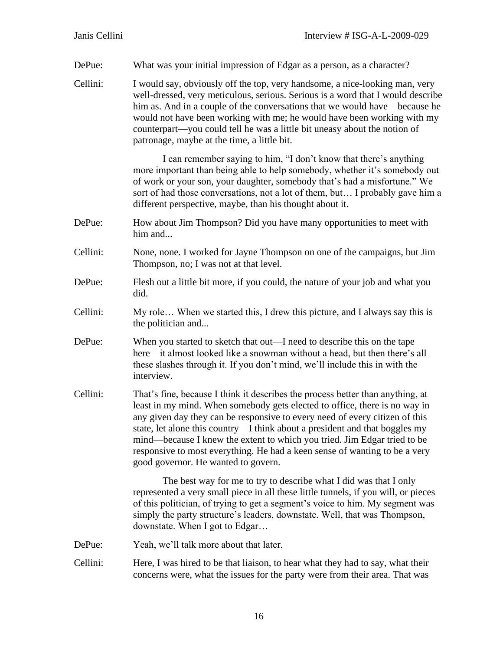DePue: What was your initial impression of Edgar as a person, as a character?

Cellini: I would say, obviously off the top, very handsome, a nice-looking man, very well-dressed, very meticulous, serious. Serious is a word that I would describe him as. And in a couple of the conversations that we would have—because he would not have been working with me; he would have been working with my counterpart—you could tell he was a little bit uneasy about the notion of patronage, maybe at the time, a little bit.

> I can remember saying to him, "I don't know that there's anything more important than being able to help somebody, whether it's somebody out of work or your son, your daughter, somebody that's had a misfortune." We sort of had those conversations, not a lot of them, but… I probably gave him a different perspective, maybe, than his thought about it.

- DePue: How about Jim Thompson? Did you have many opportunities to meet with him and...
- Cellini: None, none. I worked for Jayne Thompson on one of the campaigns, but Jim Thompson, no; I was not at that level.
- DePue: Flesh out a little bit more, if you could, the nature of your job and what you did.
- Cellini: My role… When we started this, I drew this picture, and I always say this is the politician and...
- DePue: When you started to sketch that out—I need to describe this on the tape here—it almost looked like a snowman without a head, but then there's all these slashes through it. If you don't mind, we'll include this in with the interview.
- Cellini: That's fine, because I think it describes the process better than anything, at least in my mind. When somebody gets elected to office, there is no way in any given day they can be responsive to every need of every citizen of this state, let alone this country—I think about a president and that boggles my mind—because I knew the extent to which you tried. Jim Edgar tried to be responsive to most everything. He had a keen sense of wanting to be a very good governor. He wanted to govern.

The best way for me to try to describe what I did was that I only represented a very small piece in all these little tunnels, if you will, or pieces of this politician, of trying to get a segment's voice to him. My segment was simply the party structure's leaders, downstate. Well, that was Thompson, downstate. When I got to Edgar…

- DePue: Yeah, we'll talk more about that later.
- Cellini: Here, I was hired to be that liaison, to hear what they had to say, what their concerns were, what the issues for the party were from their area. That was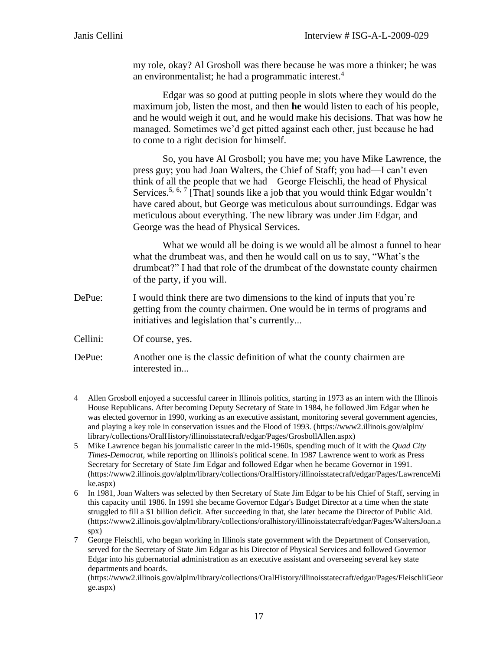my role, okay? Al Grosboll was there because he was more a thinker; he was an environmentalist; he had a programmatic interest.<sup>4</sup>

Edgar was so good at putting people in slots where they would do the maximum job, listen the most, and then **he** would listen to each of his people, and he would weigh it out, and he would make his decisions. That was how he managed. Sometimes we'd get pitted against each other, just because he had to come to a right decision for himself.

So, you have Al Grosboll; you have me; you have Mike Lawrence, the press guy; you had Joan Walters, the Chief of Staff; you had—I can't even think of all the people that we had—George Fleischli, the head of Physical Services.<sup>5, 6, 7</sup> [That] sounds like a job that you would think Edgar wouldn't have cared about, but George was meticulous about surroundings. Edgar was meticulous about everything. The new library was under Jim Edgar, and George was the head of Physical Services.

What we would all be doing is we would all be almost a funnel to hear what the drumbeat was, and then he would call on us to say, "What's the drumbeat?" I had that role of the drumbeat of the downstate county chairmen of the party, if you will.

DePue: I would think there are two dimensions to the kind of inputs that you're getting from the county chairmen. One would be in terms of programs and initiatives and legislation that's currently...

Cellini: Of course, yes.

DePue: Another one is the classic definition of what the county chairmen are interested in...

- 4 Allen Grosboll enjoyed a successful career in Illinois politics, starting in 1973 as an intern with the Illinois House Republicans. After becoming Deputy Secretary of State in 1984, he followed Jim Edgar when he was elected governor in 1990, working as an executive assistant, monitoring several government agencies, and playing a key role in conservation issues and the Flood of 1993. [\(https://www2.illinois.gov/alplm/](https://www2.illinois.gov/alplm/) library/collections/OralHistory/illinoisstatecraft/edgar/Pages/GrosbollAllen.aspx)
- 5 Mike Lawrence began his journalistic career in the mid-1960s, spending much of it with the *Quad City Times-Democrat,* while reporting on Illinois's political scene. In 1987 Lawrence went to work as Press Secretary for Secretary of State Jim Edgar and followed Edgar when he became Governor in 1991. (https://www2.illinois.gov/alplm/library/collections/OralHistory/illinoisstatecraft/edgar/Pages/LawrenceMi ke.aspx)
- 6 In 1981, Joan Walters was selected by then Secretary of State Jim Edgar to be his Chief of Staff, serving in this capacity until 1986. In 1991 she became Governor Edgar's Budget Director at a time when the state struggled to fill a \$1 billion deficit. After succeeding in that, she later became the Director of Public Aid. (https://www2.illinois.gov/alplm/library/collections/oralhistory/illinoisstatecraft/edgar/Pages/WaltersJoan.a spx)
- 7 George Fleischli, who began working in Illinois state government with the Department of Conservation, served for the Secretary of State Jim Edgar as his Director of Physical Services and followed Governor Edgar into his gubernatorial administration as an executive assistant and overseeing several key state departments and boards.

(https://www2.illinois.gov/alplm/library/collections/OralHistory/illinoisstatecraft/edgar/Pages/FleischliGeor ge.aspx)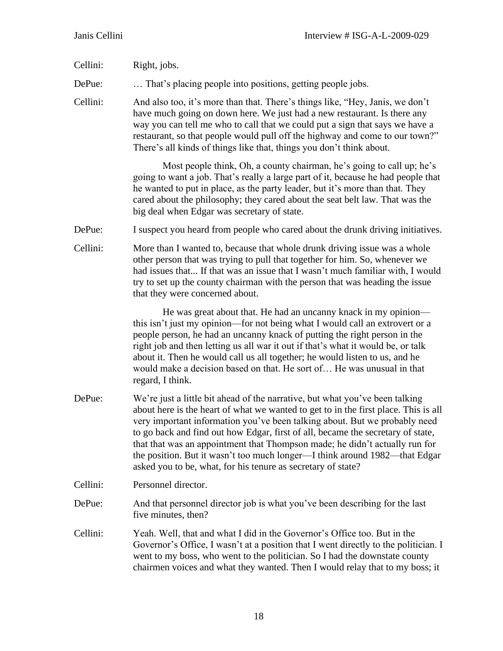| Cellini: | Right, jobs.                                                                                                                                                                                                                                                                                                                                                                                                                                                                                                                                                      |
|----------|-------------------------------------------------------------------------------------------------------------------------------------------------------------------------------------------------------------------------------------------------------------------------------------------------------------------------------------------------------------------------------------------------------------------------------------------------------------------------------------------------------------------------------------------------------------------|
| DePue:   | That's placing people into positions, getting people jobs.                                                                                                                                                                                                                                                                                                                                                                                                                                                                                                        |
| Cellini: | And also too, it's more than that. There's things like, "Hey, Janis, we don't<br>have much going on down here. We just had a new restaurant. Is there any<br>way you can tell me who to call that we could put a sign that says we have a<br>restaurant, so that people would pull off the highway and come to our town?"<br>There's all kinds of things like that, things you don't think about.                                                                                                                                                                 |
|          | Most people think, Oh, a county chairman, he's going to call up; he's<br>going to want a job. That's really a large part of it, because he had people that<br>he wanted to put in place, as the party leader, but it's more than that. They<br>cared about the philosophy; they cared about the seat belt law. That was the<br>big deal when Edgar was secretary of state.                                                                                                                                                                                        |
| DePue:   | I suspect you heard from people who cared about the drunk driving initiatives.                                                                                                                                                                                                                                                                                                                                                                                                                                                                                    |
| Cellini: | More than I wanted to, because that whole drunk driving issue was a whole<br>other person that was trying to pull that together for him. So, whenever we<br>had issues that If that was an issue that I wasn't much familiar with, I would<br>try to set up the county chairman with the person that was heading the issue<br>that they were concerned about.                                                                                                                                                                                                     |
|          | He was great about that. He had an uncanny knack in my opinion—<br>this isn't just my opinion—for not being what I would call an extrovert or a<br>people person, he had an uncanny knack of putting the right person in the<br>right job and then letting us all war it out if that's what it would be, or talk<br>about it. Then he would call us all together; he would listen to us, and he<br>would make a decision based on that. He sort of He was unusual in that<br>regard, I think.                                                                     |
| DePue:   | We're just a little bit ahead of the narrative, but what you've been talking<br>about here is the heart of what we wanted to get to in the first place. This is all<br>very important information you've been talking about. But we probably need<br>to go back and find out how Edgar, first of all, became the secretary of state,<br>that that was an appointment that Thompson made; he didn't actually run for<br>the position. But it wasn't too much longer—I think around 1982—that Edgar<br>asked you to be, what, for his tenure as secretary of state? |
| Cellini: | Personnel director.                                                                                                                                                                                                                                                                                                                                                                                                                                                                                                                                               |
| DePue:   | And that personnel director job is what you've been describing for the last<br>five minutes, then?                                                                                                                                                                                                                                                                                                                                                                                                                                                                |
| Cellini: | Yeah. Well, that and what I did in the Governor's Office too. But in the<br>Governor's Office, I wasn't at a position that I went directly to the politician. I<br>went to my boss, who went to the politician. So I had the downstate county<br>chairmen voices and what they wanted. Then I would relay that to my boss; it                                                                                                                                                                                                                                     |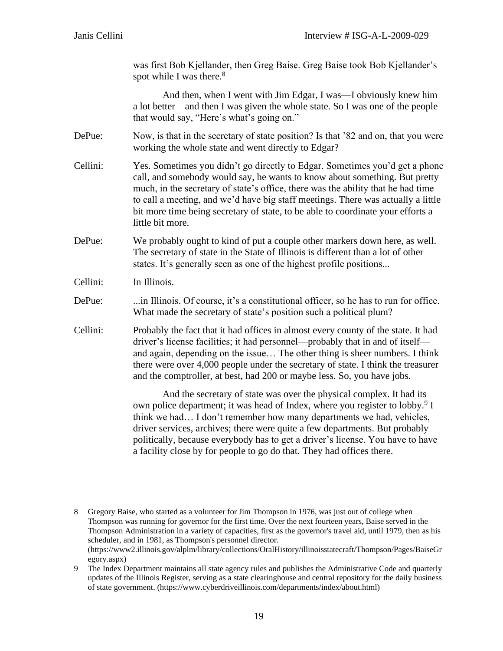was first Bob Kjellander, then Greg Baise. Greg Baise took Bob Kjellander's spot while I was there. $8^8$ 

And then, when I went with Jim Edgar, I was—I obviously knew him a lot better—and then I was given the whole state. So I was one of the people that would say, "Here's what's going on."

- DePue: Now, is that in the secretary of state position? Is that '82 and on, that you were working the whole state and went directly to Edgar?
- Cellini: Yes. Sometimes you didn't go directly to Edgar. Sometimes you'd get a phone call, and somebody would say, he wants to know about something. But pretty much, in the secretary of state's office, there was the ability that he had time to call a meeting, and we'd have big staff meetings. There was actually a little bit more time being secretary of state, to be able to coordinate your efforts a little bit more.
- DePue: We probably ought to kind of put a couple other markers down here, as well. The secretary of state in the State of Illinois is different than a lot of other states. It's generally seen as one of the highest profile positions...

Cellini: In Illinois.

- DePue: ...in Illinois. Of course, it's a constitutional officer, so he has to run for office. What made the secretary of state's position such a political plum?
- Cellini: Probably the fact that it had offices in almost every county of the state. It had driver's license facilities; it had personnel—probably that in and of itself and again, depending on the issue… The other thing is sheer numbers. I think there were over 4,000 people under the secretary of state. I think the treasurer and the comptroller, at best, had 200 or maybe less. So, you have jobs.

And the secretary of state was over the physical complex. It had its own police department; it was head of Index, where you register to lobby.<sup>9</sup> I think we had… I don't remember how many departments we had, vehicles, driver services, archives; there were quite a few departments. But probably politically, because everybody has to get a driver's license. You have to have a facility close by for people to go do that. They had offices there.

8 Gregory Baise, who started as a volunteer for Jim Thompson in 1976, was just out of college when Thompson was running for governor for the first time. Over the next fourteen years, Baise served in the Thompson Administration in a variety of capacities, first as the governor's travel aid, until 1979, then as his scheduler, and in 1981, as Thompson's personnel director. (https://www2.illinois.gov/alplm/library/collections/OralHistory/illinoisstatecraft/Thompson/Pages/BaiseGr egory.aspx)

<sup>9</sup> The Index Department maintains all state agency rules and publishes the Administrative Code and quarterly updates of the Illinois Register, serving as a state clearinghouse and central repository for the daily business of state government. (https://www.cyberdriveillinois.com/departments/index/about.html)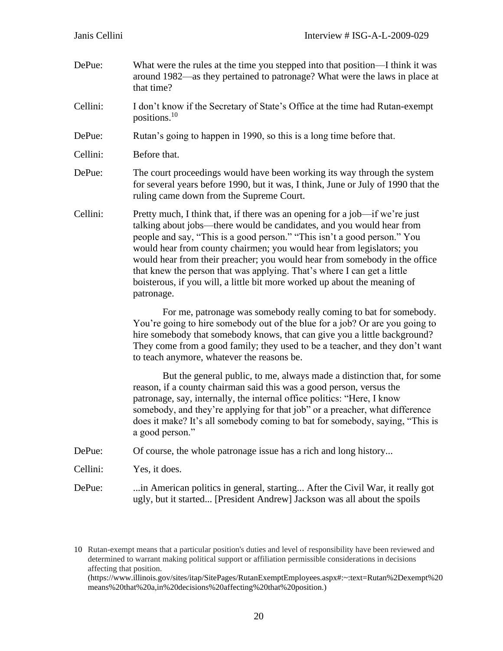- DePue: What were the rules at the time you stepped into that position—I think it was around 1982—as they pertained to patronage? What were the laws in place at that time?
- Cellini: I don't know if the Secretary of State's Office at the time had Rutan-exempt positions.<sup>10</sup>
- DePue: Rutan's going to happen in 1990, so this is a long time before that.
- Cellini: Before that.
- DePue: The court proceedings would have been working its way through the system for several years before 1990, but it was, I think, June or July of 1990 that the ruling came down from the Supreme Court.
- Cellini: Pretty much, I think that, if there was an opening for a job—if we're just talking about jobs—there would be candidates, and you would hear from people and say, "This is a good person." "This isn't a good person." You would hear from county chairmen; you would hear from legislators; you would hear from their preacher; you would hear from somebody in the office that knew the person that was applying. That's where I can get a little boisterous, if you will, a little bit more worked up about the meaning of patronage.

For me, patronage was somebody really coming to bat for somebody. You're going to hire somebody out of the blue for a job? Or are you going to hire somebody that somebody knows, that can give you a little background? They come from a good family; they used to be a teacher, and they don't want to teach anymore, whatever the reasons be.

But the general public, to me, always made a distinction that, for some reason, if a county chairman said this was a good person, versus the patronage, say, internally, the internal office politics: "Here, I know somebody, and they're applying for that job" or a preacher, what difference does it make? It's all somebody coming to bat for somebody, saying, "This is a good person."

DePue: Of course, the whole patronage issue has a rich and long history...

Cellini: Yes, it does.

DePue: ...in American politics in general, starting... After the Civil War, it really got ugly, but it started... [President Andrew] Jackson was all about the spoils

10 Rutan-exempt means that a particular position's duties and level of responsibility have been reviewed and determined to warrant making political support or affiliation permissible considerations in decisions affecting that position. (https://www.illinois.gov/sites/itap/SitePages/RutanExemptEmployees.aspx#:~:text=Rutan%2Dexempt%20 means%20that%20a,in%20decisions%20affecting%20that%20position.)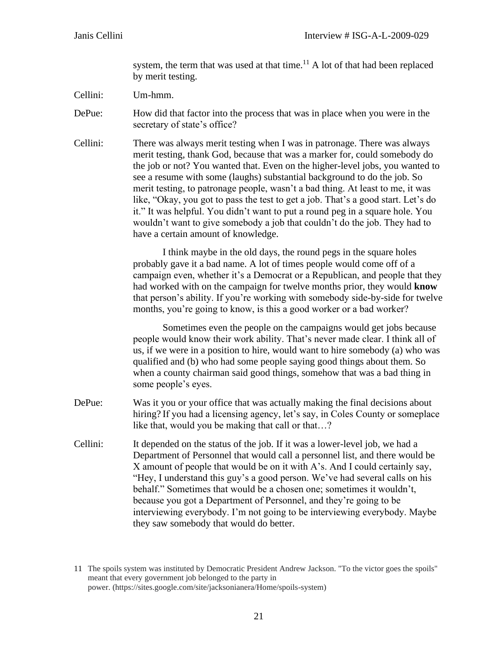system, the term that was used at that time.<sup>11</sup> A lot of that had been replaced by merit testing.

- Cellini: Um-hmm.
- DePue: How did that factor into the process that was in place when you were in the secretary of state's office?
- Cellini: There was always merit testing when I was in patronage. There was always merit testing, thank God, because that was a marker for, could somebody do the job or not? You wanted that. Even on the higher-level jobs, you wanted to see a resume with some (laughs) substantial background to do the job. So merit testing, to patronage people, wasn't a bad thing. At least to me, it was like, "Okay, you got to pass the test to get a job. That's a good start. Let's do it." It was helpful. You didn't want to put a round peg in a square hole. You wouldn't want to give somebody a job that couldn't do the job. They had to have a certain amount of knowledge.

I think maybe in the old days, the round pegs in the square holes probably gave it a bad name. A lot of times people would come off of a campaign even, whether it's a Democrat or a Republican, and people that they had worked with on the campaign for twelve months prior, they would **know** that person's ability. If you're working with somebody side-by-side for twelve months, you're going to know, is this a good worker or a bad worker?

Sometimes even the people on the campaigns would get jobs because people would know their work ability. That's never made clear. I think all of us, if we were in a position to hire, would want to hire somebody (a) who was qualified and (b) who had some people saying good things about them. So when a county chairman said good things, somehow that was a bad thing in some people's eyes.

- DePue: Was it you or your office that was actually making the final decisions about hiring? If you had a licensing agency, let's say, in Coles County or someplace like that, would you be making that call or that...?
- Cellini: It depended on the status of the job. If it was a lower-level job, we had a Department of Personnel that would call a personnel list, and there would be X amount of people that would be on it with A's. And I could certainly say, "Hey, I understand this guy's a good person. We've had several calls on his behalf." Sometimes that would be a chosen one; sometimes it wouldn't, because you got a Department of Personnel, and they're going to be interviewing everybody. I'm not going to be interviewing everybody. Maybe they saw somebody that would do better.

<sup>11</sup> The spoils system was instituted by Democratic President Andrew Jackson. "To the victor goes the spoils" meant that every government job belonged to the party in power. (https://sites.google.com/site/jacksonianera/Home/spoils-system)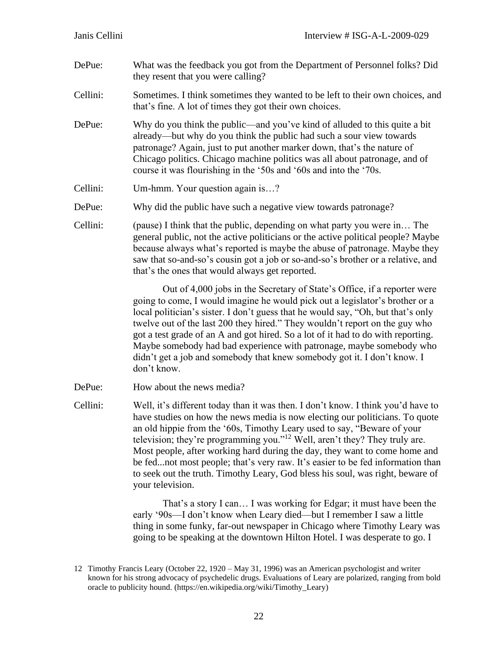- DePue: What was the feedback you got from the Department of Personnel folks? Did they resent that you were calling?
- Cellini: Sometimes. I think sometimes they wanted to be left to their own choices, and that's fine. A lot of times they got their own choices.
- DePue: Why do you think the public—and you've kind of alluded to this quite a bit already—but why do you think the public had such a sour view towards patronage? Again, just to put another marker down, that's the nature of Chicago politics. Chicago machine politics was all about patronage, and of course it was flourishing in the '50s and '60s and into the '70s.
- Cellini: Um-hmm. Your question again is…?
- DePue: Why did the public have such a negative view towards patronage?
- Cellini: (pause) I think that the public, depending on what party you were in… The general public, not the active politicians or the active political people? Maybe because always what's reported is maybe the abuse of patronage. Maybe they saw that so-and-so's cousin got a job or so-and-so's brother or a relative, and that's the ones that would always get reported.

Out of 4,000 jobs in the Secretary of State's Office, if a reporter were going to come, I would imagine he would pick out a legislator's brother or a local politician's sister. I don't guess that he would say, "Oh, but that's only twelve out of the last 200 they hired." They wouldn't report on the guy who got a test grade of an A and got hired. So a lot of it had to do with reporting. Maybe somebody had bad experience with patronage, maybe somebody who didn't get a job and somebody that knew somebody got it. I don't know. I don't know.

- DePue: How about the news media?
- Cellini: Well, it's different today than it was then. I don't know. I think you'd have to have studies on how the news media is now electing our politicians. To quote an old hippie from the '60s, Timothy Leary used to say, "Beware of your television; they're programming you."<sup>12</sup> Well, aren't they? They truly are. Most people, after working hard during the day, they want to come home and be fed...not most people; that's very raw. It's easier to be fed information than to seek out the truth. Timothy Leary, God bless his soul, was right, beware of your television.

That's a story I can… I was working for Edgar; it must have been the early '90s—I don't know when Leary died—but I remember I saw a little thing in some funky, far-out newspaper in Chicago where Timothy Leary was going to be speaking at the downtown Hilton Hotel. I was desperate to go. I

<sup>12</sup> Timothy Francis Leary (October 22, 1920 – May 31, 1996) was an American psychologist and writer known for his strong advocacy of psychedelic drugs. Evaluations of Leary are polarized, ranging from bold oracle to publicity hound. (https://en.wikipedia.org/wiki/Timothy\_Leary)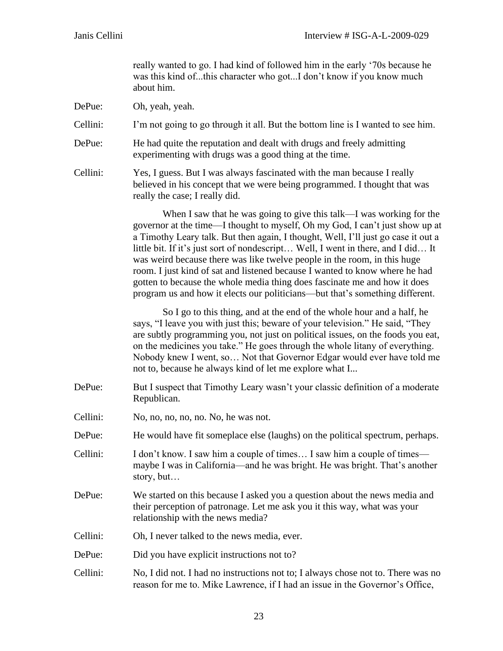really wanted to go. I had kind of followed him in the early '70s because he was this kind of...this character who got...I don't know if you know much about him.

- DePue: Oh, yeah, yeah.
- Cellini: I'm not going to go through it all. But the bottom line is I wanted to see him.
- DePue: He had quite the reputation and dealt with drugs and freely admitting experimenting with drugs was a good thing at the time.
- Cellini: Yes, I guess. But I was always fascinated with the man because I really believed in his concept that we were being programmed. I thought that was really the case; I really did.

When I saw that he was going to give this talk—I was working for the governor at the time—I thought to myself, Oh my God, I can't just show up at a Timothy Leary talk. But then again, I thought, Well, I'll just go case it out a little bit. If it's just sort of nondescript… Well, I went in there, and I did… It was weird because there was like twelve people in the room, in this huge room. I just kind of sat and listened because I wanted to know where he had gotten to because the whole media thing does fascinate me and how it does program us and how it elects our politicians—but that's something different.

So I go to this thing, and at the end of the whole hour and a half, he says, "I leave you with just this; beware of your television." He said, "They are subtly programming you, not just on political issues, on the foods you eat, on the medicines you take." He goes through the whole litany of everything. Nobody knew I went, so… Not that Governor Edgar would ever have told me not to, because he always kind of let me explore what I...

- DePue: But I suspect that Timothy Leary wasn't your classic definition of a moderate Republican.
- Cellini: No, no, no, no, no. No, he was not.
- DePue: He would have fit someplace else (laughs) on the political spectrum, perhaps.
- Cellini: I don't know. I saw him a couple of times… I saw him a couple of times maybe I was in California—and he was bright. He was bright. That's another story, but…
- DePue: We started on this because I asked you a question about the news media and their perception of patronage. Let me ask you it this way, what was your relationship with the news media?
- Cellini: Oh, I never talked to the news media, ever.
- DePue: Did you have explicit instructions not to?
- Cellini: No, I did not. I had no instructions not to; I always chose not to. There was no reason for me to. Mike Lawrence, if I had an issue in the Governor's Office,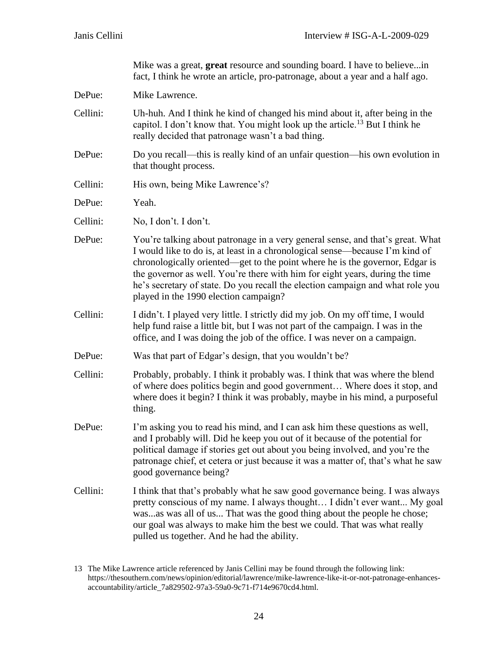Mike was a great, **great** resource and sounding board. I have to believe...in fact, I think he wrote an article, pro-patronage, about a year and a half ago.

DePue: Mike Lawrence.

- Cellini: Uh-huh. And I think he kind of changed his mind about it, after being in the capitol. I don't know that. You might look up the article.<sup>13</sup> But I think he really decided that patronage wasn't a bad thing.
- DePue: Do you recall—this is really kind of an unfair question—his own evolution in that thought process.
- Cellini: His own, being Mike Lawrence's?
- DePue: Yeah.
- Cellini: No, I don't. I don't.
- DePue: You're talking about patronage in a very general sense, and that's great. What I would like to do is, at least in a chronological sense—because I'm kind of chronologically oriented—get to the point where he is the governor, Edgar is the governor as well. You're there with him for eight years, during the time he's secretary of state. Do you recall the election campaign and what role you played in the 1990 election campaign?
- Cellini: I didn't. I played very little. I strictly did my job. On my off time, I would help fund raise a little bit, but I was not part of the campaign. I was in the office, and I was doing the job of the office. I was never on a campaign.
- DePue: Was that part of Edgar's design, that you wouldn't be?
- Cellini: Probably, probably. I think it probably was. I think that was where the blend of where does politics begin and good government… Where does it stop, and where does it begin? I think it was probably, maybe in his mind, a purposeful thing.
- DePue: I'm asking you to read his mind, and I can ask him these questions as well, and I probably will. Did he keep you out of it because of the potential for political damage if stories get out about you being involved, and you're the patronage chief, et cetera or just because it was a matter of, that's what he saw good governance being?
- Cellini: I think that that's probably what he saw good governance being. I was always pretty conscious of my name. I always thought… I didn't ever want... My goal was...as was all of us... That was the good thing about the people he chose; our goal was always to make him the best we could. That was what really pulled us together. And he had the ability.

<sup>13</sup> The Mike Lawrence article referenced by Janis Cellini may be found through the following link: https://thesouthern.com/news/opinion/editorial/lawrence/mike-lawrence-like-it-or-not-patronage-enhancesaccountability/article\_7a829502-97a3-59a0-9c71-f714e9670cd4.html.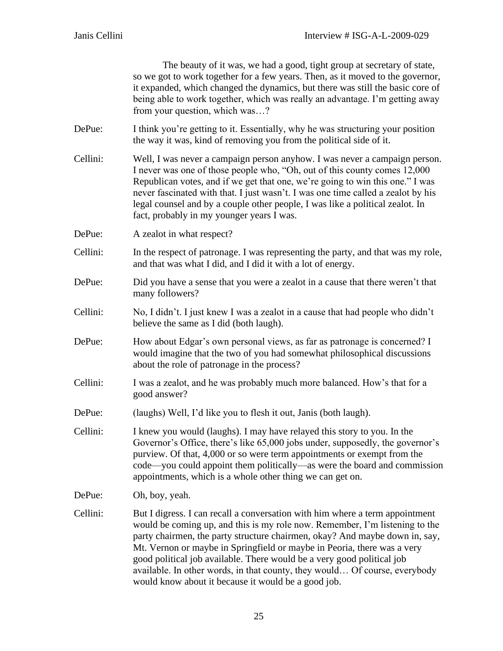The beauty of it was, we had a good, tight group at secretary of state, so we got to work together for a few years. Then, as it moved to the governor, it expanded, which changed the dynamics, but there was still the basic core of being able to work together, which was really an advantage. I'm getting away from your question, which was…?

- DePue: I think you're getting to it. Essentially, why he was structuring your position the way it was, kind of removing you from the political side of it.
- Cellini: Well, I was never a campaign person anyhow. I was never a campaign person. I never was one of those people who, "Oh, out of this county comes 12,000 Republican votes, and if we get that one, we're going to win this one." I was never fascinated with that. I just wasn't. I was one time called a zealot by his legal counsel and by a couple other people, I was like a political zealot. In fact, probably in my younger years I was.
- DePue: A zealot in what respect?
- Cellini: In the respect of patronage. I was representing the party, and that was my role, and that was what I did, and I did it with a lot of energy.
- DePue: Did you have a sense that you were a zealot in a cause that there weren't that many followers?
- Cellini: No, I didn't. I just knew I was a zealot in a cause that had people who didn't believe the same as I did (both laugh).
- DePue: How about Edgar's own personal views, as far as patronage is concerned? I would imagine that the two of you had somewhat philosophical discussions about the role of patronage in the process?
- Cellini: I was a zealot, and he was probably much more balanced. How's that for a good answer?
- DePue: (laughs) Well, I'd like you to flesh it out, Janis (both laugh).
- Cellini: I knew you would (laughs). I may have relayed this story to you. In the Governor's Office, there's like 65,000 jobs under, supposedly, the governor's purview. Of that, 4,000 or so were term appointments or exempt from the code—you could appoint them politically—as were the board and commission appointments, which is a whole other thing we can get on.

DePue: Oh, boy, yeah.

Cellini: But I digress. I can recall a conversation with him where a term appointment would be coming up, and this is my role now. Remember, I'm listening to the party chairmen, the party structure chairmen, okay? And maybe down in, say, Mt. Vernon or maybe in Springfield or maybe in Peoria, there was a very good political job available. There would be a very good political job available. In other words, in that county, they would… Of course, everybody would know about it because it would be a good job.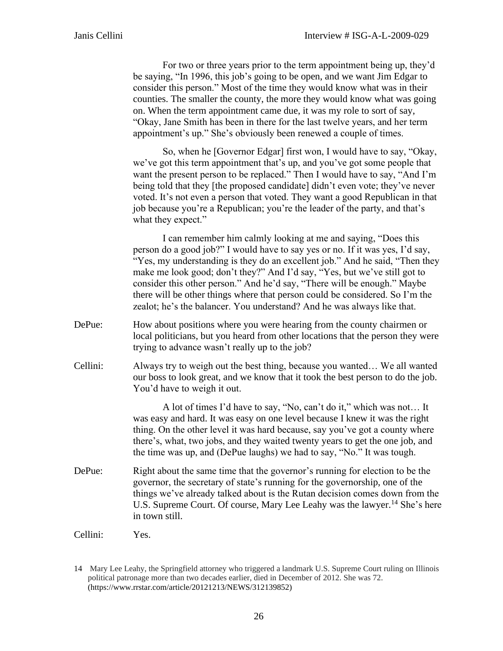For two or three years prior to the term appointment being up, they'd be saying, "In 1996, this job's going to be open, and we want Jim Edgar to consider this person." Most of the time they would know what was in their counties. The smaller the county, the more they would know what was going on. When the term appointment came due, it was my role to sort of say, "Okay, Jane Smith has been in there for the last twelve years, and her term appointment's up." She's obviously been renewed a couple of times.

So, when he [Governor Edgar] first won, I would have to say, "Okay, we've got this term appointment that's up, and you've got some people that want the present person to be replaced." Then I would have to say, "And I'm being told that they [the proposed candidate] didn't even vote; they've never voted. It's not even a person that voted. They want a good Republican in that job because you're a Republican; you're the leader of the party, and that's what they expect."

I can remember him calmly looking at me and saying, "Does this person do a good job?" I would have to say yes or no. If it was yes, I'd say, "Yes, my understanding is they do an excellent job." And he said, "Then they make me look good; don't they?" And I'd say, "Yes, but we've still got to consider this other person." And he'd say, "There will be enough." Maybe there will be other things where that person could be considered. So I'm the zealot; he's the balancer. You understand? And he was always like that.

- DePue: How about positions where you were hearing from the county chairmen or local politicians, but you heard from other locations that the person they were trying to advance wasn't really up to the job?
- Cellini: Always try to weigh out the best thing, because you wanted… We all wanted our boss to look great, and we know that it took the best person to do the job. You'd have to weigh it out.

A lot of times I'd have to say, "No, can't do it," which was not… It was easy and hard. It was easy on one level because I knew it was the right thing. On the other level it was hard because, say you've got a county where there's, what, two jobs, and they waited twenty years to get the one job, and the time was up, and (DePue laughs) we had to say, "No." It was tough.

- DePue: Right about the same time that the governor's running for election to be the governor, the secretary of state's running for the governorship, one of the things we've already talked about is the Rutan decision comes down from the U.S. Supreme Court. Of course, Mary Lee Leahy was the lawyer.<sup>14</sup> She's here in town still.
- Cellini: Yes.

<sup>14</sup> Mary Lee Leahy, the Springfield attorney who triggered a landmark U.S. Supreme Court ruling on Illinois political patronage more than two decades earlier, died in December of 2012. She was 72. (https://www.rrstar.com/article/20121213/NEWS/312139852)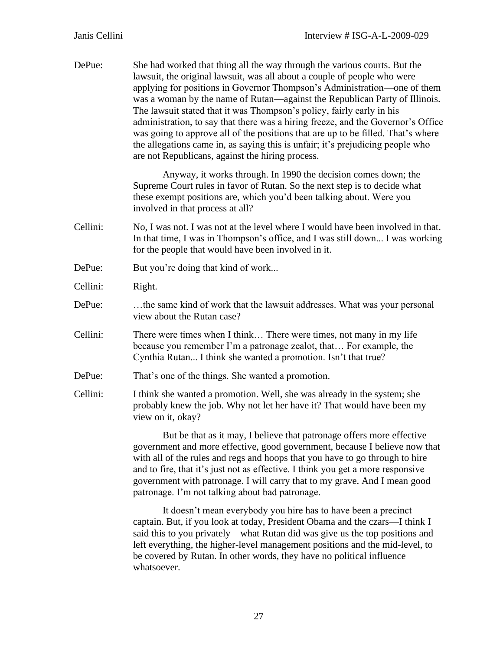| DePue:   | She had worked that thing all the way through the various courts. But the<br>lawsuit, the original lawsuit, was all about a couple of people who were<br>applying for positions in Governor Thompson's Administration—one of them<br>was a woman by the name of Rutan-against the Republican Party of Illinois.<br>The lawsuit stated that it was Thompson's policy, fairly early in his<br>administration, to say that there was a hiring freeze, and the Governor's Office<br>was going to approve all of the positions that are up to be filled. That's where<br>the allegations came in, as saying this is unfair; it's prejudicing people who<br>are not Republicans, against the hiring process. |  |  |
|----------|--------------------------------------------------------------------------------------------------------------------------------------------------------------------------------------------------------------------------------------------------------------------------------------------------------------------------------------------------------------------------------------------------------------------------------------------------------------------------------------------------------------------------------------------------------------------------------------------------------------------------------------------------------------------------------------------------------|--|--|
|          | Anyway, it works through. In 1990 the decision comes down; the<br>Supreme Court rules in favor of Rutan. So the next step is to decide what<br>these exempt positions are, which you'd been talking about. Were you<br>involved in that process at all?                                                                                                                                                                                                                                                                                                                                                                                                                                                |  |  |
| Cellini: | No, I was not. I was not at the level where I would have been involved in that.<br>In that time, I was in Thompson's office, and I was still down I was working<br>for the people that would have been involved in it.                                                                                                                                                                                                                                                                                                                                                                                                                                                                                 |  |  |
| DePue:   | But you're doing that kind of work                                                                                                                                                                                                                                                                                                                                                                                                                                                                                                                                                                                                                                                                     |  |  |
| Cellini: | Right.                                                                                                                                                                                                                                                                                                                                                                                                                                                                                                                                                                                                                                                                                                 |  |  |
| DePue:   | the same kind of work that the lawsuit addresses. What was your personal<br>view about the Rutan case?                                                                                                                                                                                                                                                                                                                                                                                                                                                                                                                                                                                                 |  |  |
| Cellini: | There were times when I think There were times, not many in my life<br>because you remember I'm a patronage zealot, that For example, the<br>Cynthia Rutan I think she wanted a promotion. Isn't that true?                                                                                                                                                                                                                                                                                                                                                                                                                                                                                            |  |  |
| DePue:   | That's one of the things. She wanted a promotion.                                                                                                                                                                                                                                                                                                                                                                                                                                                                                                                                                                                                                                                      |  |  |
| Cellini: | I think she wanted a promotion. Well, she was already in the system; she<br>probably knew the job. Why not let her have it? That would have been my<br>view on it, okay?                                                                                                                                                                                                                                                                                                                                                                                                                                                                                                                               |  |  |
|          | But be that as it may, I believe that patronage offers more effective<br>government and more effective, good government, because I believe now that<br>with all of the rules and regs and hoops that you have to go through to hire<br>and to fire, that it's just not as effective. I think you get a more responsive<br>government with patronage. I will carry that to my grave. And I mean good<br>patronage. I'm not talking about bad patronage.                                                                                                                                                                                                                                                 |  |  |
|          | It doesn't mean everybody you hire has to have been a precinct                                                                                                                                                                                                                                                                                                                                                                                                                                                                                                                                                                                                                                         |  |  |

captain. But, if you look at today, President Obama and the czars—I think I said this to you privately—what Rutan did was give us the top positions and left everything, the higher-level management positions and the mid-level, to be covered by Rutan. In other words, they have no political influence whatsoever.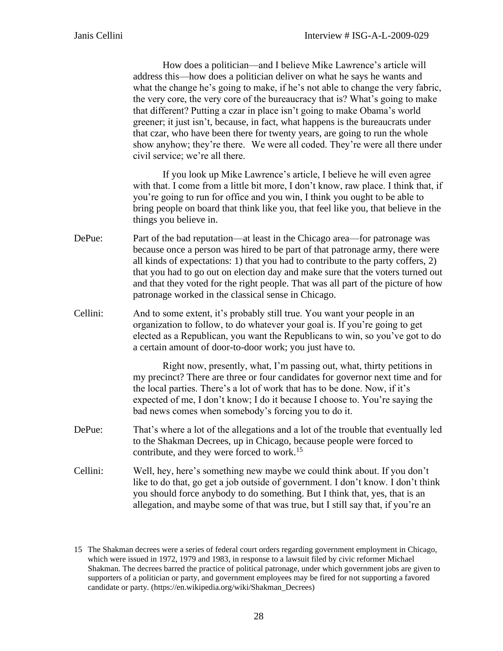How does a politician—and I believe Mike Lawrence's article will address this—how does a politician deliver on what he says he wants and what the change he's going to make, if he's not able to change the very fabric, the very core, the very core of the bureaucracy that is? What's going to make that different? Putting a czar in place isn't going to make Obama's world greener; it just isn't, because, in fact, what happens is the bureaucrats under that czar, who have been there for twenty years, are going to run the whole show anyhow; they're there. We were all coded. They're were all there under civil service; we're all there.

If you look up Mike Lawrence's article, I believe he will even agree with that. I come from a little bit more, I don't know, raw place. I think that, if you're going to run for office and you win, I think you ought to be able to bring people on board that think like you, that feel like you, that believe in the things you believe in.

- DePue: Part of the bad reputation—at least in the Chicago area—for patronage was because once a person was hired to be part of that patronage army, there were all kinds of expectations: 1) that you had to contribute to the party coffers, 2) that you had to go out on election day and make sure that the voters turned out and that they voted for the right people. That was all part of the picture of how patronage worked in the classical sense in Chicago.
- Cellini: And to some extent, it's probably still true. You want your people in an organization to follow, to do whatever your goal is. If you're going to get elected as a Republican, you want the Republicans to win, so you've got to do a certain amount of door-to-door work; you just have to.

Right now, presently, what, I'm passing out, what, thirty petitions in my precinct? There are three or four candidates for governor next time and for the local parties. There's a lot of work that has to be done. Now, if it's expected of me, I don't know; I do it because I choose to. You're saying the bad news comes when somebody's forcing you to do it.

- DePue: That's where a lot of the allegations and a lot of the trouble that eventually led to the Shakman Decrees, up in Chicago, because people were forced to contribute, and they were forced to work.<sup>15</sup>
- Cellini: Well, hey, here's something new maybe we could think about. If you don't like to do that, go get a job outside of government. I don't know. I don't think you should force anybody to do something. But I think that, yes, that is an allegation, and maybe some of that was true, but I still say that, if you're an

<sup>15</sup> The Shakman decrees were a series of federal court orders regarding government employment in Chicago, which were issued in 1972, 1979 and 1983, in response to a lawsuit filed by civic reformer Michael Shakman. The decrees barred the practice of political patronage, under which government jobs are given to supporters of a politician or party, and government employees may be fired for not supporting a favored candidate or party. (https://en.wikipedia.org/wiki/Shakman\_Decrees)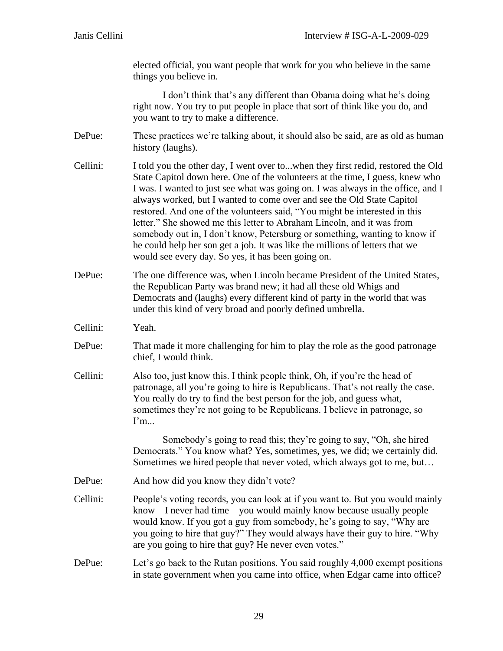elected official, you want people that work for you who believe in the same things you believe in.

I don't think that's any different than Obama doing what he's doing right now. You try to put people in place that sort of think like you do, and you want to try to make a difference.

- DePue: These practices we're talking about, it should also be said, are as old as human history (laughs).
- Cellini: I told you the other day, I went over to...when they first redid, restored the Old State Capitol down here. One of the volunteers at the time, I guess, knew who I was. I wanted to just see what was going on. I was always in the office, and I always worked, but I wanted to come over and see the Old State Capitol restored. And one of the volunteers said, "You might be interested in this letter." She showed me this letter to Abraham Lincoln, and it was from somebody out in, I don't know, Petersburg or something, wanting to know if he could help her son get a job. It was like the millions of letters that we would see every day. So yes, it has been going on.
- DePue: The one difference was, when Lincoln became President of the United States, the Republican Party was brand new; it had all these old Whigs and Democrats and (laughs) every different kind of party in the world that was under this kind of very broad and poorly defined umbrella.

Cellini: Yeah.

- DePue: That made it more challenging for him to play the role as the good patronage chief, I would think.
- Cellini: Also too, just know this. I think people think, Oh, if you're the head of patronage, all you're going to hire is Republicans. That's not really the case. You really do try to find the best person for the job, and guess what, sometimes they're not going to be Republicans. I believe in patronage, so I'm...

Somebody's going to read this; they're going to say, "Oh, she hired Democrats." You know what? Yes, sometimes, yes, we did; we certainly did. Sometimes we hired people that never voted, which always got to me, but…

- DePue: And how did you know they didn't vote?
- Cellini: People's voting records, you can look at if you want to. But you would mainly know—I never had time—you would mainly know because usually people would know. If you got a guy from somebody, he's going to say, "Why are you going to hire that guy?" They would always have their guy to hire. "Why are you going to hire that guy? He never even votes."
- DePue: Let's go back to the Rutan positions. You said roughly 4,000 exempt positions in state government when you came into office, when Edgar came into office?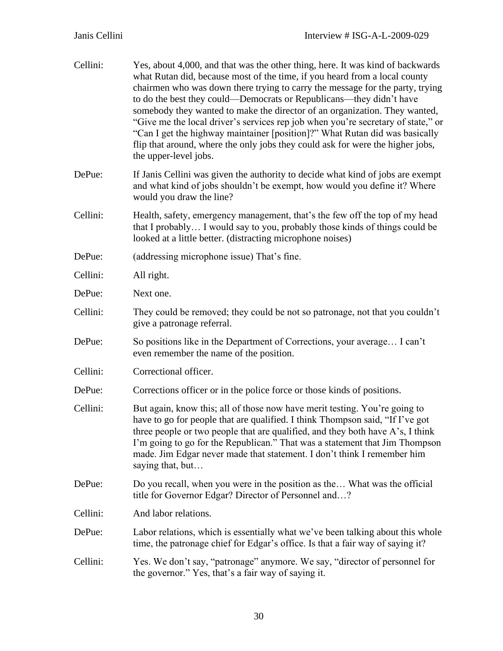| Cellini: | Yes, about 4,000, and that was the other thing, here. It was kind of backwards<br>what Rutan did, because most of the time, if you heard from a local county<br>chairmen who was down there trying to carry the message for the party, trying<br>to do the best they could—Democrats or Republicans—they didn't have<br>somebody they wanted to make the director of an organization. They wanted,<br>"Give me the local driver's services rep job when you're secretary of state," or<br>"Can I get the highway maintainer [position]?" What Rutan did was basically<br>flip that around, where the only jobs they could ask for were the higher jobs,<br>the upper-level jobs. |  |  |  |
|----------|----------------------------------------------------------------------------------------------------------------------------------------------------------------------------------------------------------------------------------------------------------------------------------------------------------------------------------------------------------------------------------------------------------------------------------------------------------------------------------------------------------------------------------------------------------------------------------------------------------------------------------------------------------------------------------|--|--|--|
| DePue:   | If Janis Cellini was given the authority to decide what kind of jobs are exempt<br>and what kind of jobs shouldn't be exempt, how would you define it? Where<br>would you draw the line?                                                                                                                                                                                                                                                                                                                                                                                                                                                                                         |  |  |  |
| Cellini: | Health, safety, emergency management, that's the few off the top of my head<br>that I probably I would say to you, probably those kinds of things could be<br>looked at a little better. (distracting microphone noises)                                                                                                                                                                                                                                                                                                                                                                                                                                                         |  |  |  |
| DePue:   | (addressing microphone issue) That's fine.                                                                                                                                                                                                                                                                                                                                                                                                                                                                                                                                                                                                                                       |  |  |  |
| Cellini: | All right.                                                                                                                                                                                                                                                                                                                                                                                                                                                                                                                                                                                                                                                                       |  |  |  |
| DePue:   | Next one.                                                                                                                                                                                                                                                                                                                                                                                                                                                                                                                                                                                                                                                                        |  |  |  |
| Cellini: | They could be removed; they could be not so patronage, not that you couldn't<br>give a patronage referral.                                                                                                                                                                                                                                                                                                                                                                                                                                                                                                                                                                       |  |  |  |
| DePue:   | So positions like in the Department of Corrections, your average I can't<br>even remember the name of the position.                                                                                                                                                                                                                                                                                                                                                                                                                                                                                                                                                              |  |  |  |
| Cellini: | Correctional officer.                                                                                                                                                                                                                                                                                                                                                                                                                                                                                                                                                                                                                                                            |  |  |  |
| DePue:   | Corrections officer or in the police force or those kinds of positions.                                                                                                                                                                                                                                                                                                                                                                                                                                                                                                                                                                                                          |  |  |  |
| Cellini: | But again, know this; all of those now have merit testing. You're going to<br>have to go for people that are qualified. I think Thompson said, "If I've got<br>three people or two people that are qualified, and they both have A's, I think<br>I'm going to go for the Republican." That was a statement that Jim Thompson<br>made. Jim Edgar never made that statement. I don't think I remember him<br>saying that, but                                                                                                                                                                                                                                                      |  |  |  |
| DePue:   | Do you recall, when you were in the position as the What was the official<br>title for Governor Edgar? Director of Personnel and?                                                                                                                                                                                                                                                                                                                                                                                                                                                                                                                                                |  |  |  |
| Cellini: | And labor relations.                                                                                                                                                                                                                                                                                                                                                                                                                                                                                                                                                                                                                                                             |  |  |  |
| DePue:   | Labor relations, which is essentially what we've been talking about this whole<br>time, the patronage chief for Edgar's office. Is that a fair way of saying it?                                                                                                                                                                                                                                                                                                                                                                                                                                                                                                                 |  |  |  |
| Cellini: | Yes. We don't say, "patronage" anymore. We say, "director of personnel for<br>the governor." Yes, that's a fair way of saying it.                                                                                                                                                                                                                                                                                                                                                                                                                                                                                                                                                |  |  |  |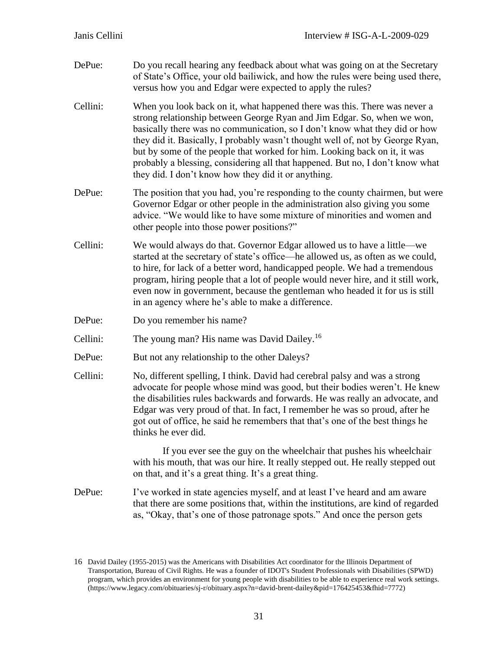- DePue: Do you recall hearing any feedback about what was going on at the Secretary of State's Office, your old bailiwick, and how the rules were being used there, versus how you and Edgar were expected to apply the rules?
- Cellini: When you look back on it, what happened there was this. There was never a strong relationship between George Ryan and Jim Edgar. So, when we won, basically there was no communication, so I don't know what they did or how they did it. Basically, I probably wasn't thought well of, not by George Ryan, but by some of the people that worked for him. Looking back on it, it was probably a blessing, considering all that happened. But no, I don't know what they did. I don't know how they did it or anything.
- DePue: The position that you had, you're responding to the county chairmen, but were Governor Edgar or other people in the administration also giving you some advice. "We would like to have some mixture of minorities and women and other people into those power positions?"
- Cellini: We would always do that. Governor Edgar allowed us to have a little—we started at the secretary of state's office—he allowed us, as often as we could, to hire, for lack of a better word, handicapped people. We had a tremendous program, hiring people that a lot of people would never hire, and it still work, even now in government, because the gentleman who headed it for us is still in an agency where he's able to make a difference.
- DePue: Do you remember his name?

Cellini: The young man? His name was David Dailey.<sup>16</sup>

- DePue: But not any relationship to the other Daleys?
- Cellini: No, different spelling, I think. David had cerebral palsy and was a strong advocate for people whose mind was good, but their bodies weren't. He knew the disabilities rules backwards and forwards. He was really an advocate, and Edgar was very proud of that. In fact, I remember he was so proud, after he got out of office, he said he remembers that that's one of the best things he thinks he ever did.

If you ever see the guy on the wheelchair that pushes his wheelchair with his mouth, that was our hire. It really stepped out. He really stepped out on that, and it's a great thing. It's a great thing.

DePue: I've worked in state agencies myself, and at least I've heard and am aware that there are some positions that, within the institutions, are kind of regarded as, "Okay, that's one of those patronage spots." And once the person gets

<sup>16</sup> David Dailey (1955-2015) was the Americans with Disabilities Act coordinator for the Illinois Department of Transportation, Bureau of Civil Rights. He was a founder of IDOT's Student Professionals with Disabilities (SPWD) program, which provides an environment for young people with disabilities to be able to experience real work settings. (https://www.legacy.com/obituaries/sj-r/obituary.aspx?n=david-brent-dailey&pid=176425453&fhid=7772)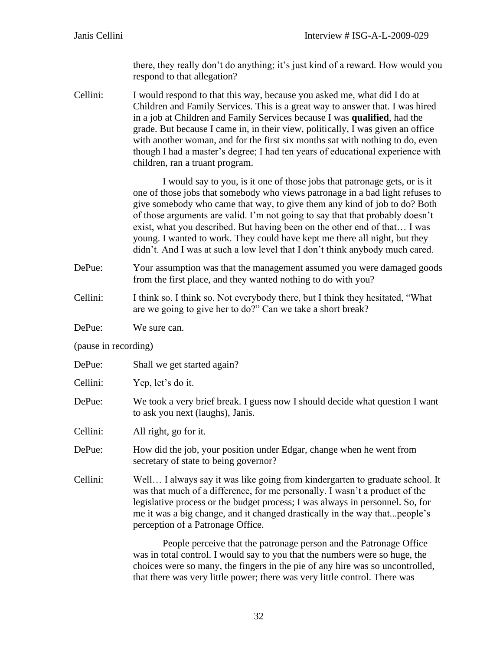there, they really don't do anything; it's just kind of a reward. How would you respond to that allegation?

Cellini: I would respond to that this way, because you asked me, what did I do at Children and Family Services. This is a great way to answer that. I was hired in a job at Children and Family Services because I was **qualified**, had the grade. But because I came in, in their view, politically, I was given an office with another woman, and for the first six months sat with nothing to do, even though I had a master's degree; I had ten years of educational experience with children, ran a truant program.

> I would say to you, is it one of those jobs that patronage gets, or is it one of those jobs that somebody who views patronage in a bad light refuses to give somebody who came that way, to give them any kind of job to do? Both of those arguments are valid. I'm not going to say that that probably doesn't exist, what you described. But having been on the other end of that… I was young. I wanted to work. They could have kept me there all night, but they didn't. And I was at such a low level that I don't think anybody much cared.

- DePue: Your assumption was that the management assumed you were damaged goods from the first place, and they wanted nothing to do with you?
- Cellini: I think so. I think so. Not everybody there, but I think they hesitated, "What are we going to give her to do?" Can we take a short break?
- DePue: We sure can.
- (pause in recording)

| DePue: | Shall we get started again? |  |
|--------|-----------------------------|--|
|        |                             |  |

- Cellini: Yep, let's do it.
- DePue: We took a very brief break. I guess now I should decide what question I want to ask you next (laughs), Janis.
- Cellini: All right, go for it.
- DePue: How did the job, your position under Edgar, change when he went from secretary of state to being governor?
- Cellini: Well… I always say it was like going from kindergarten to graduate school. It was that much of a difference, for me personally. I wasn't a product of the legislative process or the budget process; I was always in personnel. So, for me it was a big change, and it changed drastically in the way that...people's perception of a Patronage Office.

People perceive that the patronage person and the Patronage Office was in total control. I would say to you that the numbers were so huge, the choices were so many, the fingers in the pie of any hire was so uncontrolled, that there was very little power; there was very little control. There was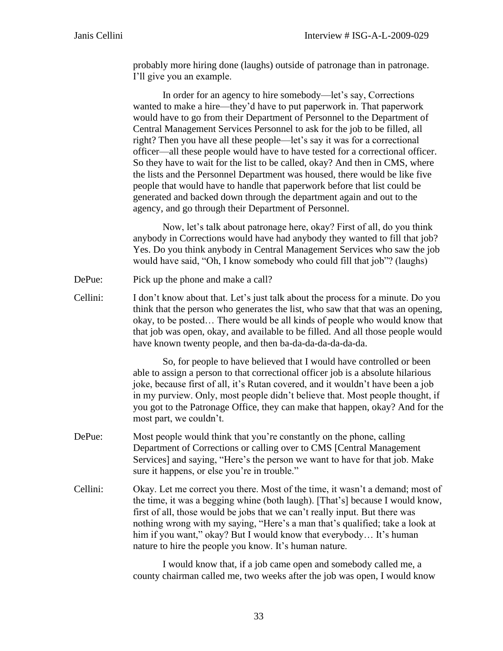probably more hiring done (laughs) outside of patronage than in patronage. I'll give you an example.

In order for an agency to hire somebody—let's say, Corrections wanted to make a hire—they'd have to put paperwork in. That paperwork would have to go from their Department of Personnel to the Department of Central Management Services Personnel to ask for the job to be filled, all right? Then you have all these people—let's say it was for a correctional officer—all these people would have to have tested for a correctional officer. So they have to wait for the list to be called, okay? And then in CMS, where the lists and the Personnel Department was housed, there would be like five people that would have to handle that paperwork before that list could be generated and backed down through the department again and out to the agency, and go through their Department of Personnel.

Now, let's talk about patronage here, okay? First of all, do you think anybody in Corrections would have had anybody they wanted to fill that job? Yes. Do you think anybody in Central Management Services who saw the job would have said, "Oh, I know somebody who could fill that job"? (laughs)

- DePue: Pick up the phone and make a call?
- Cellini: I don't know about that. Let's just talk about the process for a minute. Do you think that the person who generates the list, who saw that that was an opening, okay, to be posted… There would be all kinds of people who would know that that job was open, okay, and available to be filled. And all those people would have known twenty people, and then ba-da-da-da-da-da-da.

So, for people to have believed that I would have controlled or been able to assign a person to that correctional officer job is a absolute hilarious joke, because first of all, it's Rutan covered, and it wouldn't have been a job in my purview. Only, most people didn't believe that. Most people thought, if you got to the Patronage Office, they can make that happen, okay? And for the most part, we couldn't.

- DePue: Most people would think that you're constantly on the phone, calling Department of Corrections or calling over to CMS [Central Management Services] and saying, "Here's the person we want to have for that job. Make sure it happens, or else you're in trouble."
- Cellini: Okay. Let me correct you there. Most of the time, it wasn't a demand; most of the time, it was a begging whine (both laugh). [That's] because I would know, first of all, those would be jobs that we can't really input. But there was nothing wrong with my saying, "Here's a man that's qualified; take a look at him if you want," okay? But I would know that everybody... It's human nature to hire the people you know. It's human nature.

I would know that, if a job came open and somebody called me, a county chairman called me, two weeks after the job was open, I would know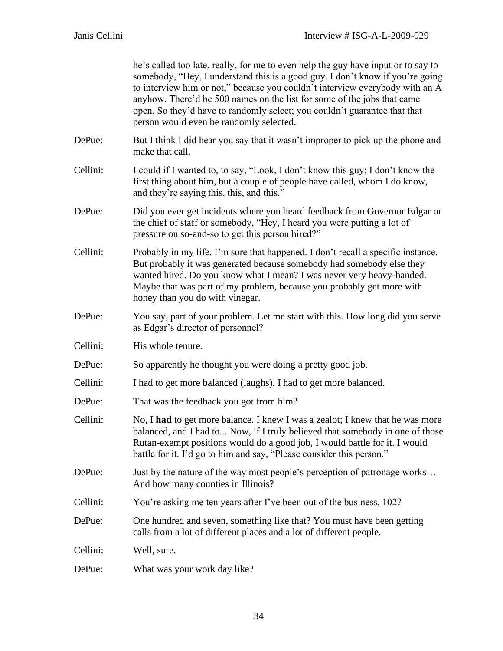| Janis Cellini | Interview $\#$ ISG-A-L-2009-029                                                                                                                                                                                                                                                                                                                                                                                                                       |  |
|---------------|-------------------------------------------------------------------------------------------------------------------------------------------------------------------------------------------------------------------------------------------------------------------------------------------------------------------------------------------------------------------------------------------------------------------------------------------------------|--|
|               | he's called too late, really, for me to even help the guy have input or to say to<br>somebody, "Hey, I understand this is a good guy. I don't know if you're going<br>to interview him or not," because you couldn't interview everybody with an A<br>anyhow. There'd be 500 names on the list for some of the jobs that came<br>open. So they'd have to randomly select; you couldn't guarantee that that<br>person would even be randomly selected. |  |
| DePue:        | But I think I did hear you say that it wasn't improper to pick up the phone and<br>make that call.                                                                                                                                                                                                                                                                                                                                                    |  |
| Cellini:      | I could if I wanted to, to say, "Look, I don't know this guy; I don't know the<br>first thing about him, but a couple of people have called, whom I do know,<br>and they're saying this, this, and this."                                                                                                                                                                                                                                             |  |
| DePue:        | Did you ever get incidents where you heard feedback from Governor Edgar or<br>the chief of staff or somebody, "Hey, I heard you were putting a lot of<br>pressure on so-and-so to get this person hired?"                                                                                                                                                                                                                                             |  |
| Cellini:      | Probably in my life. I'm sure that happened. I don't recall a specific instance.<br>But probably it was generated because somebody had somebody else they<br>wanted hired. Do you know what I mean? I was never very heavy-handed.<br>Maybe that was part of my problem, because you probably get more with<br>honey than you do with vinegar.                                                                                                        |  |
| DePue:        | You say, part of your problem. Let me start with this. How long did you serve<br>as Edgar's director of personnel?                                                                                                                                                                                                                                                                                                                                    |  |
| Cellini:      | His whole tenure.                                                                                                                                                                                                                                                                                                                                                                                                                                     |  |
| DePue:        | So apparently he thought you were doing a pretty good job.                                                                                                                                                                                                                                                                                                                                                                                            |  |
| Cellini:      | I had to get more balanced (laughs). I had to get more balanced.                                                                                                                                                                                                                                                                                                                                                                                      |  |
| DePue:        | That was the feedback you got from him?                                                                                                                                                                                                                                                                                                                                                                                                               |  |
| Cellini:      | No, I had to get more balance. I knew I was a zealot; I knew that he was more<br>balanced, and I had to Now, if I truly believed that somebody in one of those<br>Rutan-exempt positions would do a good job, I would battle for it. I would<br>battle for it. I'd go to him and say, "Please consider this person."                                                                                                                                  |  |
| DePue:        | Just by the nature of the way most people's perception of patronage works<br>And how many counties in Illinois?                                                                                                                                                                                                                                                                                                                                       |  |
| Cellini:      | You're asking me ten years after I've been out of the business, 102?                                                                                                                                                                                                                                                                                                                                                                                  |  |
| DePue:        | One hundred and seven, something like that? You must have been getting<br>calls from a lot of different places and a lot of different people.                                                                                                                                                                                                                                                                                                         |  |
| Cellini:      | Well, sure.                                                                                                                                                                                                                                                                                                                                                                                                                                           |  |
| DePue:        | What was your work day like?                                                                                                                                                                                                                                                                                                                                                                                                                          |  |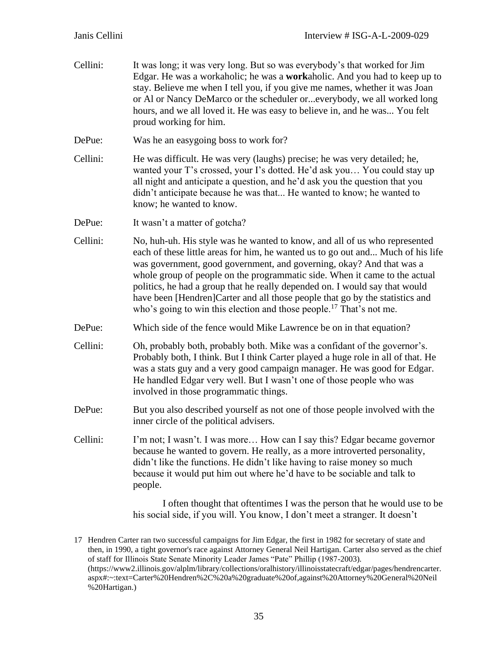| Cellini: | It was long; it was very long. But so was everybody's that worked for Jim<br>Edgar. He was a workaholic; he was a workaholic. And you had to keep up to<br>stay. Believe me when I tell you, if you give me names, whether it was Joan<br>or Al or Nancy DeMarco or the scheduler oreverybody, we all worked long<br>hours, and we all loved it. He was easy to believe in, and he was You felt<br>proud working for him.                                                                                                                                             |
|----------|-----------------------------------------------------------------------------------------------------------------------------------------------------------------------------------------------------------------------------------------------------------------------------------------------------------------------------------------------------------------------------------------------------------------------------------------------------------------------------------------------------------------------------------------------------------------------|
| DePue:   | Was he an easygoing boss to work for?                                                                                                                                                                                                                                                                                                                                                                                                                                                                                                                                 |
| Cellini: | He was difficult. He was very (laughs) precise; he was very detailed; he,<br>wanted your T's crossed, your I's dotted. He'd ask you You could stay up<br>all night and anticipate a question, and he'd ask you the question that you<br>didn't anticipate because he was that He wanted to know; he wanted to<br>know; he wanted to know.                                                                                                                                                                                                                             |
| DePue:   | It wasn't a matter of gotcha?                                                                                                                                                                                                                                                                                                                                                                                                                                                                                                                                         |
| Cellini: | No, huh-uh. His style was he wanted to know, and all of us who represented<br>each of these little areas for him, he wanted us to go out and Much of his life<br>was government, good government, and governing, okay? And that was a<br>whole group of people on the programmatic side. When it came to the actual<br>politics, he had a group that he really depended on. I would say that would<br>have been [Hendren]Carter and all those people that go by the statistics and<br>who's going to win this election and those people. <sup>17</sup> That's not me. |
| DePue:   | Which side of the fence would Mike Lawrence be on in that equation?                                                                                                                                                                                                                                                                                                                                                                                                                                                                                                   |
| Cellini: | Oh, probably both, probably both. Mike was a confidant of the governor's.<br>Probably both, I think. But I think Carter played a huge role in all of that. He<br>was a stats guy and a very good campaign manager. He was good for Edgar.<br>He handled Edgar very well. But I wasn't one of those people who was<br>involved in those programmatic things.                                                                                                                                                                                                           |
| DePue:   | But you also described yourself as not one of those people involved with the<br>inner circle of the political advisers.                                                                                                                                                                                                                                                                                                                                                                                                                                               |
| Cellini: | I'm not; I wasn't. I was more How can I say this? Edgar became governor<br>because he wanted to govern. He really, as a more introverted personality,<br>didn't like the functions. He didn't like having to raise money so much<br>because it would put him out where he'd have to be sociable and talk to<br>people.                                                                                                                                                                                                                                                |
|          | I often thought that oftentimes I was the person that he would use to be<br>his social side, if you will. You know, I don't meet a stranger. It doesn't                                                                                                                                                                                                                                                                                                                                                                                                               |

<sup>17</sup> Hendren Carter ran two successful campaigns for Jim Edgar, the first in 1982 for secretary of state and then, in 1990, a tight governor's race against Attorney General Neil Hartigan. Carter also served as the chief of staff for Illinois State Senate Minority Leader James "Pate" Phillip (1987-2003). (https://www2.illinois.gov/alplm/library/collections/oralhistory/illinoisstatecraft/edgar/pages/hendrencarter. aspx#:~:text=Carter%20Hendren%2C%20a%20graduate%20of,against%20Attorney%20General%20Neil %20Hartigan.)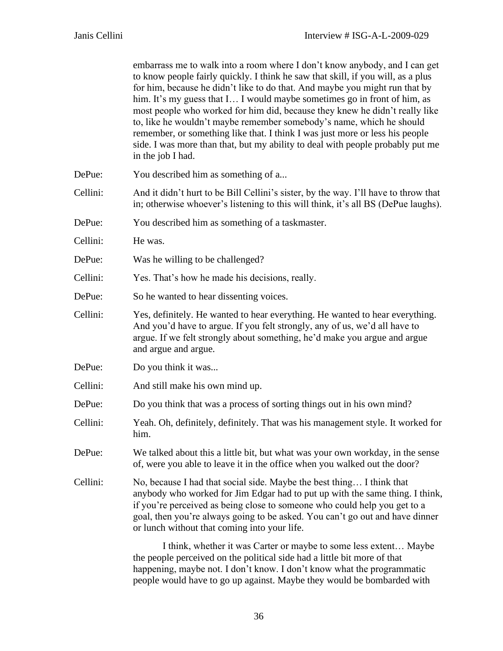|          | embarrass me to walk into a room where I don't know anybody, and I can get<br>to know people fairly quickly. I think he saw that skill, if you will, as a plus<br>for him, because he didn't like to do that. And maybe you might run that by<br>him. It's my guess that I I would maybe sometimes go in front of him, as<br>most people who worked for him did, because they knew he didn't really like<br>to, like he wouldn't maybe remember somebody's name, which he should<br>remember, or something like that. I think I was just more or less his people<br>side. I was more than that, but my ability to deal with people probably put me<br>in the job I had. |
|----------|-------------------------------------------------------------------------------------------------------------------------------------------------------------------------------------------------------------------------------------------------------------------------------------------------------------------------------------------------------------------------------------------------------------------------------------------------------------------------------------------------------------------------------------------------------------------------------------------------------------------------------------------------------------------------|
| DePue:   | You described him as something of a                                                                                                                                                                                                                                                                                                                                                                                                                                                                                                                                                                                                                                     |
| Cellini: | And it didn't hurt to be Bill Cellini's sister, by the way. I'll have to throw that<br>in; otherwise whoever's listening to this will think, it's all BS (DePue laughs).                                                                                                                                                                                                                                                                                                                                                                                                                                                                                                |
| DePue:   | You described him as something of a taskmaster.                                                                                                                                                                                                                                                                                                                                                                                                                                                                                                                                                                                                                         |
| Cellini: | He was.                                                                                                                                                                                                                                                                                                                                                                                                                                                                                                                                                                                                                                                                 |
| DePue:   | Was he willing to be challenged?                                                                                                                                                                                                                                                                                                                                                                                                                                                                                                                                                                                                                                        |
| Cellini: | Yes. That's how he made his decisions, really.                                                                                                                                                                                                                                                                                                                                                                                                                                                                                                                                                                                                                          |
| DePue:   | So he wanted to hear dissenting voices.                                                                                                                                                                                                                                                                                                                                                                                                                                                                                                                                                                                                                                 |
| Cellini: | Yes, definitely. He wanted to hear everything. He wanted to hear everything.<br>And you'd have to argue. If you felt strongly, any of us, we'd all have to<br>argue. If we felt strongly about something, he'd make you argue and argue<br>and argue and argue.                                                                                                                                                                                                                                                                                                                                                                                                         |
| DePue:   | Do you think it was                                                                                                                                                                                                                                                                                                                                                                                                                                                                                                                                                                                                                                                     |
| Cellini: | And still make his own mind up.                                                                                                                                                                                                                                                                                                                                                                                                                                                                                                                                                                                                                                         |
| DePue:   | Do you think that was a process of sorting things out in his own mind?                                                                                                                                                                                                                                                                                                                                                                                                                                                                                                                                                                                                  |
| Cellini: | Yeah. Oh, definitely, definitely. That was his management style. It worked for<br>him.                                                                                                                                                                                                                                                                                                                                                                                                                                                                                                                                                                                  |
| DePue:   | We talked about this a little bit, but what was your own workday, in the sense<br>of, were you able to leave it in the office when you walked out the door?                                                                                                                                                                                                                                                                                                                                                                                                                                                                                                             |
| Cellini: | No, because I had that social side. Maybe the best thing I think that<br>anybody who worked for Jim Edgar had to put up with the same thing. I think,<br>if you're perceived as being close to someone who could help you get to a<br>goal, then you're always going to be asked. You can't go out and have dinner<br>or lunch without that coming into your life.                                                                                                                                                                                                                                                                                                      |
|          | I think, whether it was Carter or maybe to some less extent Maybe<br>the people perceived on the political side had a little bit more of that                                                                                                                                                                                                                                                                                                                                                                                                                                                                                                                           |

happening, maybe not. I don't know. I don't know what the programmatic people would have to go up against. Maybe they would be bombarded with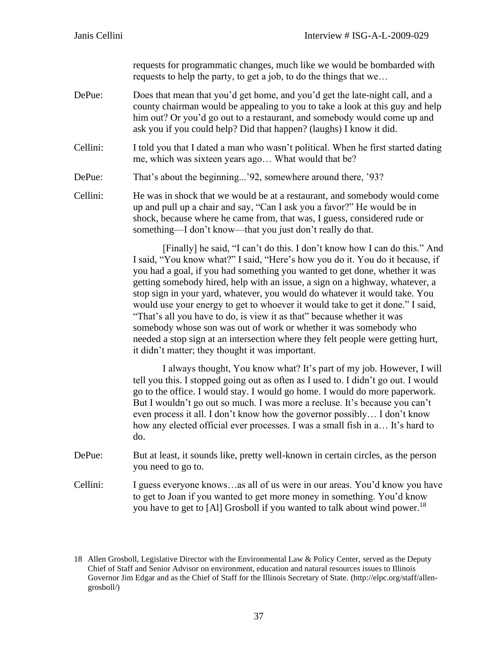requests for programmatic changes, much like we would be bombarded with requests to help the party, to get a job, to do the things that we…

- DePue: Does that mean that you'd get home, and you'd get the late-night call, and a county chairman would be appealing to you to take a look at this guy and help him out? Or you'd go out to a restaurant, and somebody would come up and ask you if you could help? Did that happen? (laughs) I know it did.
- Cellini: I told you that I dated a man who wasn't political. When he first started dating me, which was sixteen years ago… What would that be?
- DePue: That's about the beginning...'92, somewhere around there, '93?
- Cellini: He was in shock that we would be at a restaurant, and somebody would come up and pull up a chair and say, "Can I ask you a favor?" He would be in shock, because where he came from, that was, I guess, considered rude or something—I don't know—that you just don't really do that.

[Finally] he said, "I can't do this. I don't know how I can do this." And I said, "You know what?" I said, "Here's how you do it. You do it because, if you had a goal, if you had something you wanted to get done, whether it was getting somebody hired, help with an issue, a sign on a highway, whatever, a stop sign in your yard, whatever, you would do whatever it would take. You would use your energy to get to whoever it would take to get it done." I said, "That's all you have to do, is view it as that" because whether it was somebody whose son was out of work or whether it was somebody who needed a stop sign at an intersection where they felt people were getting hurt, it didn't matter; they thought it was important.

I always thought, You know what? It's part of my job. However, I will tell you this. I stopped going out as often as I used to. I didn't go out. I would go to the office. I would stay. I would go home. I would do more paperwork. But I wouldn't go out so much. I was more a recluse. It's because you can't even process it all. I don't know how the governor possibly… I don't know how any elected official ever processes. I was a small fish in a… It's hard to do.

- DePue: But at least, it sounds like, pretty well-known in certain circles, as the person you need to go to.
- Cellini: I guess everyone knows…as all of us were in our areas. You'd know you have to get to Joan if you wanted to get more money in something. You'd know you have to get to [Al] Grosboll if you wanted to talk about wind power.<sup>18</sup>

<sup>18</sup> Allen Grosboll, Legislative Director with the Environmental Law & Policy Center, served as the Deputy Chief of Staff and Senior Advisor on environment, education and natural resources issues to Illinois Governor Jim Edgar and as the Chief of Staff for the Illinois Secretary of State. (http://elpc.org/staff/allengrosboll/)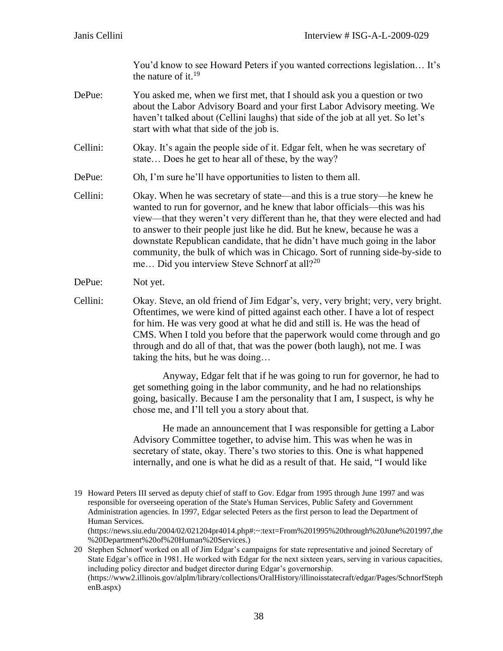You'd know to see Howard Peters if you wanted corrections legislation… It's the nature of it. $19$ 

- DePue: You asked me, when we first met, that I should ask you a question or two about the Labor Advisory Board and your first Labor Advisory meeting. We haven't talked about (Cellini laughs) that side of the job at all yet. So let's start with what that side of the job is.
- Cellini: Okay. It's again the people side of it. Edgar felt, when he was secretary of state… Does he get to hear all of these, by the way?
- DePue: Oh, I'm sure he'll have opportunities to listen to them all.
- Cellini: Okay. When he was secretary of state—and this is a true story—he knew he wanted to run for governor, and he knew that labor officials—this was his view—that they weren't very different than he, that they were elected and had to answer to their people just like he did. But he knew, because he was a downstate Republican candidate, that he didn't have much going in the labor community, the bulk of which was in Chicago. Sort of running side-by-side to me... Did you interview Steve Schnorf at all?<sup>20</sup>
- DePue: Not yet.
- Cellini: Okay. Steve, an old friend of Jim Edgar's, very, very bright; very, very bright. Oftentimes, we were kind of pitted against each other. I have a lot of respect for him. He was very good at what he did and still is. He was the head of CMS. When I told you before that the paperwork would come through and go through and do all of that, that was the power (both laugh), not me. I was taking the hits, but he was doing…

Anyway, Edgar felt that if he was going to run for governor, he had to get something going in the labor community, and he had no relationships going, basically. Because I am the personality that I am, I suspect, is why he chose me, and I'll tell you a story about that.

He made an announcement that I was responsible for getting a Labor Advisory Committee together, to advise him. This was when he was in secretary of state, okay. There's two stories to this. One is what happened internally, and one is what he did as a result of that. He said, "I would like

(https://news.siu.edu/2004/02/021204pr4014.php#:~:text=From%201995%20through%20June%201997,the %20Department%20of%20Human%20Services.)

<sup>19</sup> Howard Peters III served as deputy chief of staff to Gov. Edgar from 1995 through June 1997 and was responsible for overseeing operation of the State's Human Services, Public Safety and Government Administration agencies. In 1997, Edgar selected Peters as the first person to lead the Department of Human Services.

<sup>20</sup> Stephen Schnorf worked on all of Jim Edgar's campaigns for state representative and joined Secretary of State Edgar's office in 1981. He worked with Edgar for the next sixteen years, serving in various capacities, including policy director and budget director during Edgar's governorship. (https://www2.illinois.gov/alplm/library/collections/OralHistory/illinoisstatecraft/edgar/Pages/SchnorfSteph enB.aspx)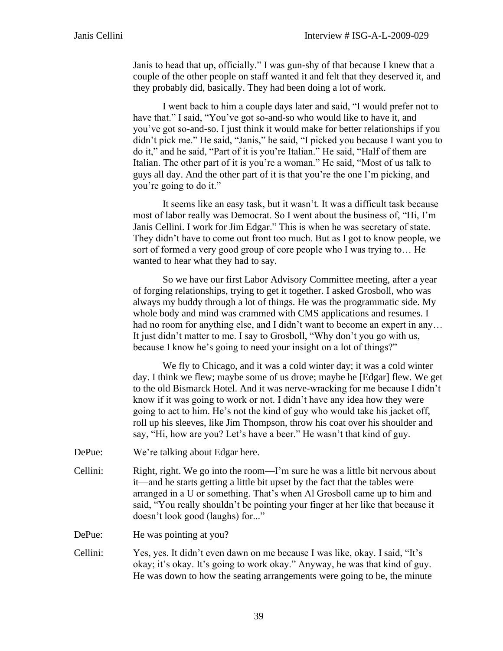Janis to head that up, officially." I was gun-shy of that because I knew that a couple of the other people on staff wanted it and felt that they deserved it, and they probably did, basically. They had been doing a lot of work.

I went back to him a couple days later and said, "I would prefer not to have that." I said, "You've got so-and-so who would like to have it, and you've got so-and-so. I just think it would make for better relationships if you didn't pick me." He said, "Janis," he said, "I picked you because I want you to do it," and he said, "Part of it is you're Italian." He said, "Half of them are Italian. The other part of it is you're a woman." He said, "Most of us talk to guys all day. And the other part of it is that you're the one I'm picking, and you're going to do it."

It seems like an easy task, but it wasn't. It was a difficult task because most of labor really was Democrat. So I went about the business of, "Hi, I'm Janis Cellini. I work for Jim Edgar." This is when he was secretary of state. They didn't have to come out front too much. But as I got to know people, we sort of formed a very good group of core people who I was trying to… He wanted to hear what they had to say.

So we have our first Labor Advisory Committee meeting, after a year of forging relationships, trying to get it together. I asked Grosboll, who was always my buddy through a lot of things. He was the programmatic side. My whole body and mind was crammed with CMS applications and resumes. I had no room for anything else, and I didn't want to become an expert in any… It just didn't matter to me. I say to Grosboll, "Why don't you go with us, because I know he's going to need your insight on a lot of things?"

We fly to Chicago, and it was a cold winter day; it was a cold winter day. I think we flew; maybe some of us drove; maybe he [Edgar] flew. We get to the old Bismarck Hotel. And it was nerve-wracking for me because I didn't know if it was going to work or not. I didn't have any idea how they were going to act to him. He's not the kind of guy who would take his jacket off, roll up his sleeves, like Jim Thompson, throw his coat over his shoulder and say, "Hi, how are you? Let's have a beer." He wasn't that kind of guy.

- DePue: We're talking about Edgar here.
- Cellini: Right, right. We go into the room—I'm sure he was a little bit nervous about it—and he starts getting a little bit upset by the fact that the tables were arranged in a U or something. That's when Al Grosboll came up to him and said, "You really shouldn't be pointing your finger at her like that because it doesn't look good (laughs) for..."

DePue: He was pointing at you?

Cellini: Yes, yes. It didn't even dawn on me because I was like, okay. I said, "It's okay; it's okay. It's going to work okay." Anyway, he was that kind of guy. He was down to how the seating arrangements were going to be, the minute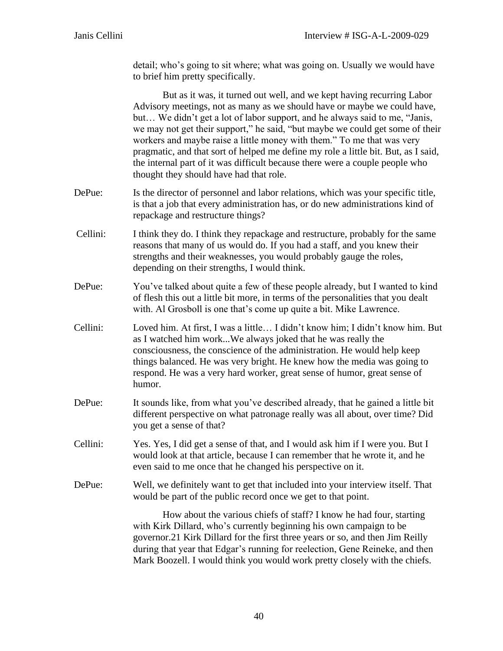detail; who's going to sit where; what was going on. Usually we would have to brief him pretty specifically.

|          | But as it was, it turned out well, and we kept having recurring Labor<br>Advisory meetings, not as many as we should have or maybe we could have,<br>but We didn't get a lot of labor support, and he always said to me, "Janis,<br>we may not get their support," he said, "but maybe we could get some of their<br>workers and maybe raise a little money with them." To me that was very<br>pragmatic, and that sort of helped me define my role a little bit. But, as I said,<br>the internal part of it was difficult because there were a couple people who<br>thought they should have had that role. |
|----------|--------------------------------------------------------------------------------------------------------------------------------------------------------------------------------------------------------------------------------------------------------------------------------------------------------------------------------------------------------------------------------------------------------------------------------------------------------------------------------------------------------------------------------------------------------------------------------------------------------------|
| DePue:   | Is the director of personnel and labor relations, which was your specific title,<br>is that a job that every administration has, or do new administrations kind of<br>repackage and restructure things?                                                                                                                                                                                                                                                                                                                                                                                                      |
| Cellini: | I think they do. I think they repackage and restructure, probably for the same<br>reasons that many of us would do. If you had a staff, and you knew their<br>strengths and their weaknesses, you would probably gauge the roles,<br>depending on their strengths, I would think.                                                                                                                                                                                                                                                                                                                            |
| DePue:   | You've talked about quite a few of these people already, but I wanted to kind<br>of flesh this out a little bit more, in terms of the personalities that you dealt<br>with. Al Grosboll is one that's come up quite a bit. Mike Lawrence.                                                                                                                                                                                                                                                                                                                                                                    |
| Cellini: | Loved him. At first, I was a little I didn't know him; I didn't know him. But<br>as I watched him workWe always joked that he was really the<br>consciousness, the conscience of the administration. He would help keep<br>things balanced. He was very bright. He knew how the media was going to<br>respond. He was a very hard worker, great sense of humor, great sense of<br>humor.                                                                                                                                                                                                                     |
| DePue:   | It sounds like, from what you've described already, that he gained a little bit<br>different perspective on what patronage really was all about, over time? Did<br>you get a sense of that?                                                                                                                                                                                                                                                                                                                                                                                                                  |
| Cellini: | Yes. Yes, I did get a sense of that, and I would ask him if I were you. But I<br>would look at that article, because I can remember that he wrote it, and he<br>even said to me once that he changed his perspective on it.                                                                                                                                                                                                                                                                                                                                                                                  |
| DePue:   | Well, we definitely want to get that included into your interview itself. That<br>would be part of the public record once we get to that point.                                                                                                                                                                                                                                                                                                                                                                                                                                                              |

How about the various chiefs of staff? I know he had four, starting with Kirk Dillard, who's currently beginning his own campaign to be governor.21 Kirk Dillard for the first three years or so, and then Jim Reilly during that year that Edgar's running for reelection, Gene Reineke, and then Mark Boozell. I would think you would work pretty closely with the chiefs.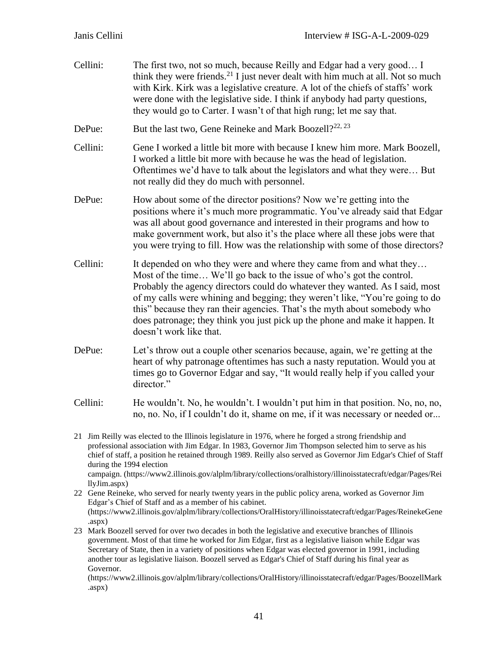Cellini: The first two, not so much, because Reilly and Edgar had a very good… I think they were friends.<sup>21</sup> I just never dealt with him much at all. Not so much with Kirk. Kirk was a legislative creature. A lot of the chiefs of staffs' work were done with the legislative side. I think if anybody had party questions, they would go to Carter. I wasn't of that high rung; let me say that.

DePue: But the last two, Gene Reineke and Mark Boozell?<sup>22, 23</sup>

Cellini: Gene I worked a little bit more with because I knew him more. Mark Boozell, I worked a little bit more with because he was the head of legislation. Oftentimes we'd have to talk about the legislators and what they were… But not really did they do much with personnel.

- DePue: How about some of the director positions? Now we're getting into the positions where it's much more programmatic. You've already said that Edgar was all about good governance and interested in their programs and how to make government work, but also it's the place where all these jobs were that you were trying to fill. How was the relationship with some of those directors?
- Cellini: It depended on who they were and where they came from and what they... Most of the time… We'll go back to the issue of who's got the control. Probably the agency directors could do whatever they wanted. As I said, most of my calls were whining and begging; they weren't like, "You're going to do this" because they ran their agencies. That's the myth about somebody who does patronage; they think you just pick up the phone and make it happen. It doesn't work like that.
- DePue: Let's throw out a couple other scenarios because, again, we're getting at the heart of why patronage oftentimes has such a nasty reputation. Would you at times go to Governor Edgar and say, "It would really help if you called your director."
- Cellini: He wouldn't. No, he wouldn't. I wouldn't put him in that position. No, no, no, no, no. No, if I couldn't do it, shame on me, if it was necessary or needed or...

21 Jim Reilly was elected to the Illinois legislature in 1976, where he forged a strong friendship and professional association with Jim Edgar. In 1983, Governor Jim Thompson selected him to serve as his chief of staff, a position he retained through 1989. Reilly also served as Governor Jim Edgar's Chief of Staff during the 1994 election campaign. (https://www2.illinois.gov/alplm/library/collections/oralhistory/illinoisstatecraft/edgar/Pages/Rei llyJim.aspx)

22 Gene Reineke, who served for nearly twenty years in the public policy arena, worked as Governor Jim Edgar's Chief of Staff and as a member of his cabinet. (https://www2.illinois.gov/alplm/library/collections/OralHistory/illinoisstatecraft/edgar/Pages/ReinekeGene .aspx)

23 Mark Boozell served for over two decades in both the legislative and executive branches of Illinois government. Most of that time he worked for Jim Edgar, first as a legislative liaison while Edgar was Secretary of State, then in a variety of positions when Edgar was elected governor in 1991, including another tour as legislative liaison. Boozell served as Edgar's Chief of Staff during his final year as Governor.

(https://www2.illinois.gov/alplm/library/collections/OralHistory/illinoisstatecraft/edgar/Pages/BoozellMark .aspx)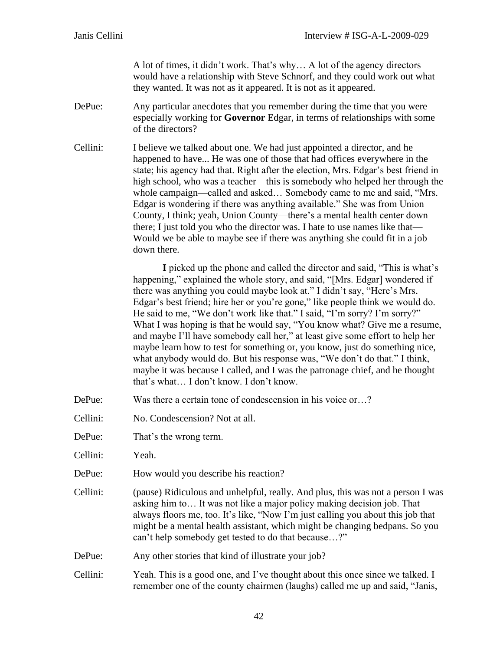A lot of times, it didn't work. That's why… A lot of the agency directors would have a relationship with Steve Schnorf, and they could work out what they wanted. It was not as it appeared. It is not as it appeared.

- DePue: Any particular anecdotes that you remember during the time that you were especially working for **Governor** Edgar, in terms of relationships with some of the directors?
- Cellini: I believe we talked about one. We had just appointed a director, and he happened to have... He was one of those that had offices everywhere in the state; his agency had that. Right after the election, Mrs. Edgar's best friend in high school, who was a teacher—this is somebody who helped her through the whole campaign—called and asked… Somebody came to me and said, "Mrs. Edgar is wondering if there was anything available." She was from Union County, I think; yeah, Union County—there's a mental health center down there; I just told you who the director was. I hate to use names like that— Would we be able to maybe see if there was anything she could fit in a job down there.

**I** picked up the phone and called the director and said, "This is what's happening," explained the whole story, and said, "[Mrs. Edgar] wondered if there was anything you could maybe look at." I didn't say, "Here's Mrs. Edgar's best friend; hire her or you're gone," like people think we would do. He said to me, "We don't work like that." I said, "I'm sorry? I'm sorry?" What I was hoping is that he would say, "You know what? Give me a resume, and maybe I'll have somebody call her," at least give some effort to help her maybe learn how to test for something or, you know, just do something nice, what anybody would do. But his response was, "We don't do that." I think, maybe it was because I called, and I was the patronage chief, and he thought that's what… I don't know. I don't know.

- DePue: Was there a certain tone of condescension in his voice or...?
- Cellini: No. Condescension? Not at all.
- DePue: That's the wrong term.

Cellini: Yeah.

- DePue: How would you describe his reaction?
- Cellini: (pause) Ridiculous and unhelpful, really. And plus, this was not a person I was asking him to… It was not like a major policy making decision job. That always floors me, too. It's like, "Now I'm just calling you about this job that might be a mental health assistant, which might be changing bedpans. So you can't help somebody get tested to do that because…?"

DePue: Any other stories that kind of illustrate your job?

Cellini: Yeah. This is a good one, and I've thought about this once since we talked. I remember one of the county chairmen (laughs) called me up and said, "Janis,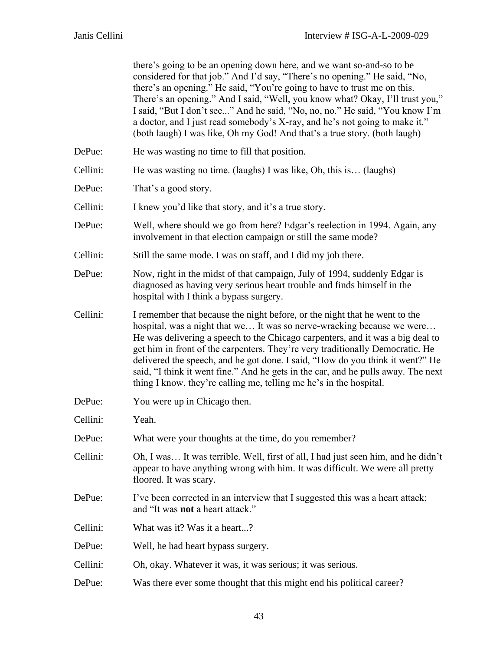|          | there's going to be an opening down here, and we want so-and-so to be<br>considered for that job." And I'd say, "There's no opening." He said, "No,<br>there's an opening." He said, "You're going to have to trust me on this.<br>There's an opening." And I said, "Well, you know what? Okay, I'll trust you,"<br>I said, "But I don't see" And he said, "No, no, no." He said, "You know I'm<br>a doctor, and I just read somebody's X-ray, and he's not going to make it."<br>(both laugh) I was like, Oh my God! And that's a true story. (both laugh)         |
|----------|---------------------------------------------------------------------------------------------------------------------------------------------------------------------------------------------------------------------------------------------------------------------------------------------------------------------------------------------------------------------------------------------------------------------------------------------------------------------------------------------------------------------------------------------------------------------|
| DePue:   | He was wasting no time to fill that position.                                                                                                                                                                                                                                                                                                                                                                                                                                                                                                                       |
| Cellini: | He was wasting no time. (laughs) I was like, Oh, this is (laughs)                                                                                                                                                                                                                                                                                                                                                                                                                                                                                                   |
| DePue:   | That's a good story.                                                                                                                                                                                                                                                                                                                                                                                                                                                                                                                                                |
| Cellini: | I knew you'd like that story, and it's a true story.                                                                                                                                                                                                                                                                                                                                                                                                                                                                                                                |
| DePue:   | Well, where should we go from here? Edgar's reelection in 1994. Again, any<br>involvement in that election campaign or still the same mode?                                                                                                                                                                                                                                                                                                                                                                                                                         |
| Cellini: | Still the same mode. I was on staff, and I did my job there.                                                                                                                                                                                                                                                                                                                                                                                                                                                                                                        |
| DePue:   | Now, right in the midst of that campaign, July of 1994, suddenly Edgar is<br>diagnosed as having very serious heart trouble and finds himself in the<br>hospital with I think a bypass surgery.                                                                                                                                                                                                                                                                                                                                                                     |
| Cellini: | I remember that because the night before, or the night that he went to the<br>hospital, was a night that we It was so nerve-wracking because we were<br>He was delivering a speech to the Chicago carpenters, and it was a big deal to<br>get him in front of the carpenters. They're very traditionally Democratic. He<br>delivered the speech, and he got done. I said, "How do you think it went?" He<br>said, "I think it went fine." And he gets in the car, and he pulls away. The next<br>thing I know, they're calling me, telling me he's in the hospital. |
| DePue:   | You were up in Chicago then.                                                                                                                                                                                                                                                                                                                                                                                                                                                                                                                                        |
| Cellini: | Yeah.                                                                                                                                                                                                                                                                                                                                                                                                                                                                                                                                                               |
| DePue:   | What were your thoughts at the time, do you remember?                                                                                                                                                                                                                                                                                                                                                                                                                                                                                                               |
| Cellini: | Oh, I was It was terrible. Well, first of all, I had just seen him, and he didn't<br>appear to have anything wrong with him. It was difficult. We were all pretty<br>floored. It was scary.                                                                                                                                                                                                                                                                                                                                                                         |
| DePue:   | I've been corrected in an interview that I suggested this was a heart attack;<br>and "It was <b>not</b> a heart attack."                                                                                                                                                                                                                                                                                                                                                                                                                                            |
| Cellini: | What was it? Was it a heart?                                                                                                                                                                                                                                                                                                                                                                                                                                                                                                                                        |
| DePue:   | Well, he had heart bypass surgery.                                                                                                                                                                                                                                                                                                                                                                                                                                                                                                                                  |
| Cellini: | Oh, okay. Whatever it was, it was serious; it was serious.                                                                                                                                                                                                                                                                                                                                                                                                                                                                                                          |
| DePue:   | Was there ever some thought that this might end his political career?                                                                                                                                                                                                                                                                                                                                                                                                                                                                                               |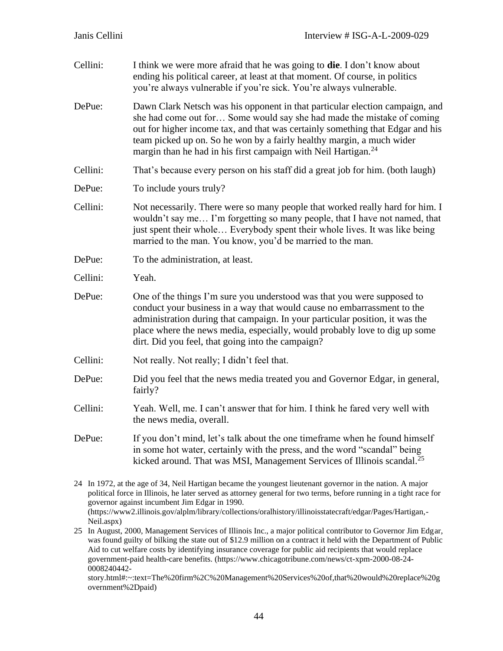| Cellini:   | I think we were more afraid that he was going to <b>die</b> . I don't know about<br>ending his political career, at least at that moment. Of course, in politics<br>you're always vulnerable if you're sick. You're always vulnerable.                                                                                                                                                                                                                                                                                                                                                                                       |
|------------|------------------------------------------------------------------------------------------------------------------------------------------------------------------------------------------------------------------------------------------------------------------------------------------------------------------------------------------------------------------------------------------------------------------------------------------------------------------------------------------------------------------------------------------------------------------------------------------------------------------------------|
| DePue:     | Dawn Clark Netsch was his opponent in that particular election campaign, and<br>she had come out for Some would say she had made the mistake of coming<br>out for higher income tax, and that was certainly something that Edgar and his<br>team picked up on. So he won by a fairly healthy margin, a much wider<br>margin than he had in his first campaign with Neil Hartigan. <sup>24</sup>                                                                                                                                                                                                                              |
| Cellini:   | That's because every person on his staff did a great job for him. (both laugh)                                                                                                                                                                                                                                                                                                                                                                                                                                                                                                                                               |
| DePue:     | To include yours truly?                                                                                                                                                                                                                                                                                                                                                                                                                                                                                                                                                                                                      |
| Cellini:   | Not necessarily. There were so many people that worked really hard for him. I<br>wouldn't say me I'm forgetting so many people, that I have not named, that<br>just spent their whole Everybody spent their whole lives. It was like being<br>married to the man. You know, you'd be married to the man.                                                                                                                                                                                                                                                                                                                     |
| DePue:     | To the administration, at least.                                                                                                                                                                                                                                                                                                                                                                                                                                                                                                                                                                                             |
| Cellini:   | Yeah.                                                                                                                                                                                                                                                                                                                                                                                                                                                                                                                                                                                                                        |
| DePue:     | One of the things I'm sure you understood was that you were supposed to<br>conduct your business in a way that would cause no embarrassment to the<br>administration during that campaign. In your particular position, it was the<br>place where the news media, especially, would probably love to dig up some<br>dirt. Did you feel, that going into the campaign?                                                                                                                                                                                                                                                        |
| Cellini:   | Not really. Not really; I didn't feel that.                                                                                                                                                                                                                                                                                                                                                                                                                                                                                                                                                                                  |
| DePue:     | Did you feel that the news media treated you and Governor Edgar, in general,<br>fairly?                                                                                                                                                                                                                                                                                                                                                                                                                                                                                                                                      |
| Cellini:   | Yeah. Well, me. I can't answer that for him. I think he fared very well with<br>the news media, overall.                                                                                                                                                                                                                                                                                                                                                                                                                                                                                                                     |
| DePue:     | If you don't mind, let's talk about the one time frame when he found himself<br>in some hot water, certainly with the press, and the word "scandal" being<br>kicked around. That was MSI, Management Services of Illinois scandal. <sup>25</sup>                                                                                                                                                                                                                                                                                                                                                                             |
| Neil.aspx) | 24 In 1972, at the age of 34, Neil Hartigan became the youngest lieutenant governor in the nation. A major<br>political force in Illinois, he later served as attorney general for two terms, before running in a tight race for<br>governor against incumbent Jim Edgar in 1990.<br>(https://www2.illinois.gov/alplm/library/collections/oralhistory/illinoisstatecraft/edgar/Pages/Hartigan,-<br>25 In August, 2000, Management Services of Illinois Inc., a major political contributor to Governor Jim Edgar,<br>d quilty of billing the state out of $22.0$ million on a contrast it hold with the Department of Dublic |

was found guilty of bilking the state out of \$12.9 million on a contract it held with the Department of Public Aid to cut welfare costs by identifying insurance coverage for public aid recipients that would replace government-paid health-care benefits. (https://www.chicagotribune.com/news/ct-xpm-2000-08-24- 0008240442-

story.html#:~:text=The%20firm%2C%20Management%20Services%20of,that%20would%20replace%20g overnment%2Dpaid)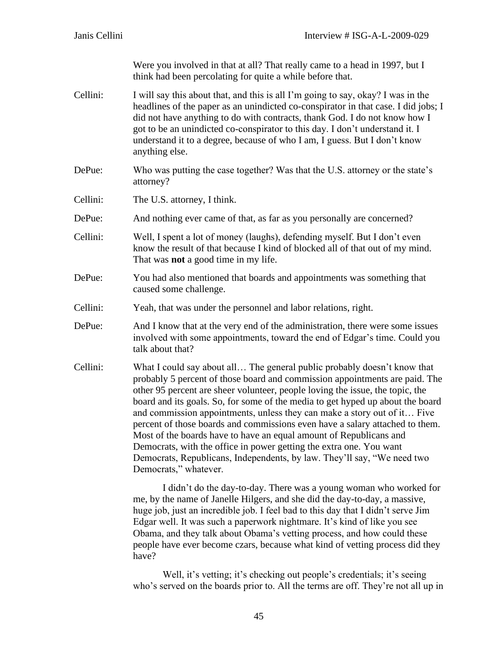Were you involved in that at all? That really came to a head in 1997, but I think had been percolating for quite a while before that.

- Cellini: I will say this about that, and this is all I'm going to say, okay? I was in the headlines of the paper as an unindicted co-conspirator in that case. I did jobs; I did not have anything to do with contracts, thank God. I do not know how I got to be an unindicted co-conspirator to this day. I don't understand it. I understand it to a degree, because of who I am, I guess. But I don't know anything else.
- DePue: Who was putting the case together? Was that the U.S. attorney or the state's attorney?
- Cellini: The U.S. attorney, I think.
- DePue: And nothing ever came of that, as far as you personally are concerned?
- Cellini: Well, I spent a lot of money (laughs), defending myself. But I don't even know the result of that because I kind of blocked all of that out of my mind. That was **not** a good time in my life.
- DePue: You had also mentioned that boards and appointments was something that caused some challenge.
- Cellini: Yeah, that was under the personnel and labor relations, right.
- DePue: And I know that at the very end of the administration, there were some issues involved with some appointments, toward the end of Edgar's time. Could you talk about that?
- Cellini: What I could say about all… The general public probably doesn't know that probably 5 percent of those board and commission appointments are paid. The other 95 percent are sheer volunteer, people loving the issue, the topic, the board and its goals. So, for some of the media to get hyped up about the board and commission appointments, unless they can make a story out of it… Five percent of those boards and commissions even have a salary attached to them. Most of the boards have to have an equal amount of Republicans and Democrats, with the office in power getting the extra one. You want Democrats, Republicans, Independents, by law. They'll say, "We need two Democrats," whatever.

I didn't do the day-to-day. There was a young woman who worked for me, by the name of Janelle Hilgers, and she did the day-to-day, a massive, huge job, just an incredible job. I feel bad to this day that I didn't serve Jim Edgar well. It was such a paperwork nightmare. It's kind of like you see Obama, and they talk about Obama's vetting process, and how could these people have ever become czars, because what kind of vetting process did they have?

Well, it's vetting; it's checking out people's credentials; it's seeing who's served on the boards prior to. All the terms are off. They're not all up in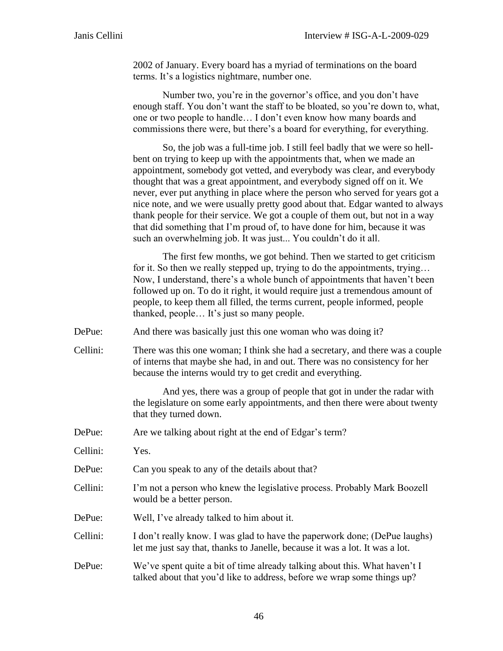2002 of January. Every board has a myriad of terminations on the board terms. It's a logistics nightmare, number one.

Number two, you're in the governor's office, and you don't have enough staff. You don't want the staff to be bloated, so you're down to, what, one or two people to handle… I don't even know how many boards and commissions there were, but there's a board for everything, for everything.

So, the job was a full-time job. I still feel badly that we were so hellbent on trying to keep up with the appointments that, when we made an appointment, somebody got vetted, and everybody was clear, and everybody thought that was a great appointment, and everybody signed off on it. We never, ever put anything in place where the person who served for years got a nice note, and we were usually pretty good about that. Edgar wanted to always thank people for their service. We got a couple of them out, but not in a way that did something that I'm proud of, to have done for him, because it was such an overwhelming job. It was just... You couldn't do it all.

The first few months, we got behind. Then we started to get criticism for it. So then we really stepped up, trying to do the appointments, trying... Now, I understand, there's a whole bunch of appointments that haven't been followed up on. To do it right, it would require just a tremendous amount of people, to keep them all filled, the terms current, people informed, people thanked, people… It's just so many people.

DePue: And there was basically just this one woman who was doing it?

Cellini: There was this one woman; I think she had a secretary, and there was a couple of interns that maybe she had, in and out. There was no consistency for her because the interns would try to get credit and everything.

> And yes, there was a group of people that got in under the radar with the legislature on some early appointments, and then there were about twenty that they turned down.

- DePue: Are we talking about right at the end of Edgar's term?
- Cellini: Yes.
- DePue: Can you speak to any of the details about that?
- Cellini: I'm not a person who knew the legislative process. Probably Mark Boozell would be a better person.
- DePue: Well, I've already talked to him about it.
- Cellini: I don't really know. I was glad to have the paperwork done; (DePue laughs) let me just say that, thanks to Janelle, because it was a lot. It was a lot.

## DePue: We've spent quite a bit of time already talking about this. What haven't I talked about that you'd like to address, before we wrap some things up?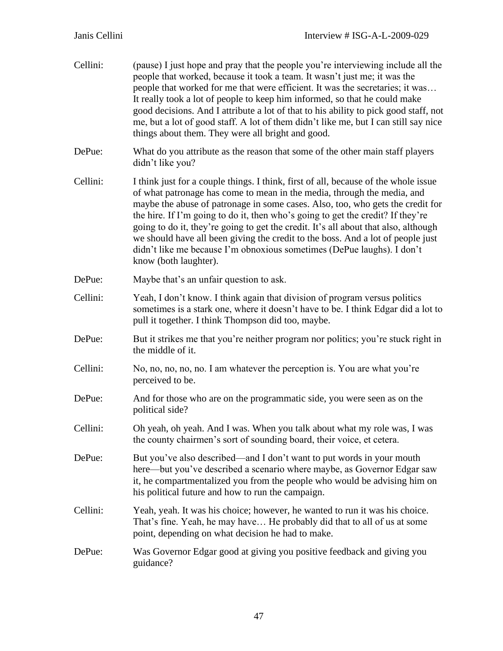| Cellini: | (pause) I just hope and pray that the people you're interviewing include all the<br>people that worked, because it took a team. It wasn't just me; it was the<br>people that worked for me that were efficient. It was the secretaries; it was<br>It really took a lot of people to keep him informed, so that he could make<br>good decisions. And I attribute a lot of that to his ability to pick good staff, not<br>me, but a lot of good staff. A lot of them didn't like me, but I can still say nice<br>things about them. They were all bright and good.                                                 |
|----------|------------------------------------------------------------------------------------------------------------------------------------------------------------------------------------------------------------------------------------------------------------------------------------------------------------------------------------------------------------------------------------------------------------------------------------------------------------------------------------------------------------------------------------------------------------------------------------------------------------------|
| DePue:   | What do you attribute as the reason that some of the other main staff players<br>didn't like you?                                                                                                                                                                                                                                                                                                                                                                                                                                                                                                                |
| Cellini: | I think just for a couple things. I think, first of all, because of the whole issue<br>of what patronage has come to mean in the media, through the media, and<br>maybe the abuse of patronage in some cases. Also, too, who gets the credit for<br>the hire. If I'm going to do it, then who's going to get the credit? If they're<br>going to do it, they're going to get the credit. It's all about that also, although<br>we should have all been giving the credit to the boss. And a lot of people just<br>didn't like me because I'm obnoxious sometimes (DePue laughs). I don't<br>know (both laughter). |
| DePue:   | Maybe that's an unfair question to ask.                                                                                                                                                                                                                                                                                                                                                                                                                                                                                                                                                                          |
| Cellini: | Yeah, I don't know. I think again that division of program versus politics<br>sometimes is a stark one, where it doesn't have to be. I think Edgar did a lot to<br>pull it together. I think Thompson did too, maybe.                                                                                                                                                                                                                                                                                                                                                                                            |
| DePue:   | But it strikes me that you're neither program nor politics; you're stuck right in<br>the middle of it.                                                                                                                                                                                                                                                                                                                                                                                                                                                                                                           |
| Cellini: | No, no, no, no, no. I am whatever the perception is. You are what you're<br>perceived to be.                                                                                                                                                                                                                                                                                                                                                                                                                                                                                                                     |
| DePue:   | And for those who are on the programmatic side, you were seen as on the<br>political side?                                                                                                                                                                                                                                                                                                                                                                                                                                                                                                                       |
| Cellini: | Oh yeah, oh yeah. And I was. When you talk about what my role was, I was<br>the county chairmen's sort of sounding board, their voice, et cetera.                                                                                                                                                                                                                                                                                                                                                                                                                                                                |
| DePue:   | But you've also described—and I don't want to put words in your mouth<br>here—but you've described a scenario where maybe, as Governor Edgar saw<br>it, he compartmentalized you from the people who would be advising him on<br>his political future and how to run the campaign.                                                                                                                                                                                                                                                                                                                               |
| Cellini: | Yeah, yeah. It was his choice; however, he wanted to run it was his choice.<br>That's fine. Yeah, he may have He probably did that to all of us at some<br>point, depending on what decision he had to make.                                                                                                                                                                                                                                                                                                                                                                                                     |
| DePue:   | Was Governor Edgar good at giving you positive feedback and giving you<br>guidance?                                                                                                                                                                                                                                                                                                                                                                                                                                                                                                                              |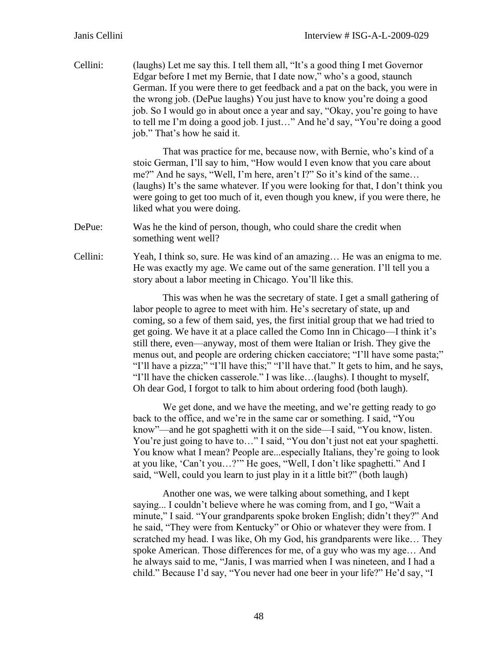Cellini: (laughs) Let me say this. I tell them all, "It's a good thing I met Governor Edgar before I met my Bernie, that I date now," who's a good, staunch German. If you were there to get feedback and a pat on the back, you were in the wrong job. (DePue laughs) You just have to know you're doing a good job. So I would go in about once a year and say, "Okay, you're going to have to tell me I'm doing a good job. I just…" And he'd say, "You're doing a good job." That's how he said it.

> That was practice for me, because now, with Bernie, who's kind of a stoic German, I'll say to him, "How would I even know that you care about me?" And he says, "Well, I'm here, aren't I?" So it's kind of the same… (laughs) It's the same whatever. If you were looking for that, I don't think you were going to get too much of it, even though you knew, if you were there, he liked what you were doing.

DePue: Was he the kind of person, though, who could share the credit when something went well?

Cellini: Yeah, I think so, sure. He was kind of an amazing… He was an enigma to me. He was exactly my age. We came out of the same generation. I'll tell you a story about a labor meeting in Chicago. You'll like this.

> This was when he was the secretary of state. I get a small gathering of labor people to agree to meet with him. He's secretary of state, up and coming, so a few of them said, yes, the first initial group that we had tried to get going. We have it at a place called the Como Inn in Chicago—I think it's still there, even—anyway, most of them were Italian or Irish. They give the menus out, and people are ordering chicken cacciatore; "I'll have some pasta;" "I'll have a pizza;" "I'll have this;" "I'll have that." It gets to him, and he says, "I'll have the chicken casserole." I was like…(laughs). I thought to myself, Oh dear God, I forgot to talk to him about ordering food (both laugh).

We get done, and we have the meeting, and we're getting ready to go back to the office, and we're in the same car or something. I said, "You know"—and he got spaghetti with it on the side—I said, "You know, listen. You're just going to have to…" I said, "You don't just not eat your spaghetti. You know what I mean? People are...especially Italians, they're going to look at you like, 'Can't you…?'" He goes, "Well, I don't like spaghetti." And I said, "Well, could you learn to just play in it a little bit?" (both laugh)

Another one was, we were talking about something, and I kept saying... I couldn't believe where he was coming from, and I go, "Wait a minute," I said. "Your grandparents spoke broken English; didn't they?" And he said, "They were from Kentucky" or Ohio or whatever they were from. I scratched my head. I was like, Oh my God, his grandparents were like… They spoke American. Those differences for me, of a guy who was my age… And he always said to me, "Janis, I was married when I was nineteen, and I had a child." Because I'd say, "You never had one beer in your life?" He'd say, "I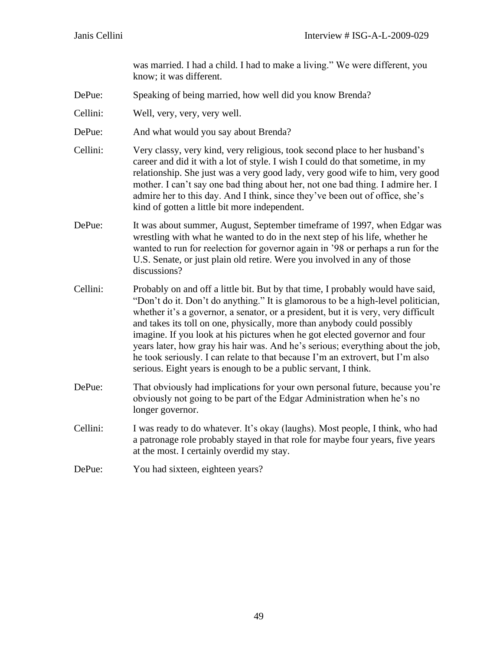was married. I had a child. I had to make a living." We were different, you know; it was different.

- DePue: Speaking of being married, how well did you know Brenda?
- Cellini: Well, very, very, very well.
- DePue: And what would you say about Brenda?
- Cellini: Very classy, very kind, very religious, took second place to her husband's career and did it with a lot of style. I wish I could do that sometime, in my relationship. She just was a very good lady, very good wife to him, very good mother. I can't say one bad thing about her, not one bad thing. I admire her. I admire her to this day. And I think, since they've been out of office, she's kind of gotten a little bit more independent.
- DePue: It was about summer, August, September timeframe of 1997, when Edgar was wrestling with what he wanted to do in the next step of his life, whether he wanted to run for reelection for governor again in '98 or perhaps a run for the U.S. Senate, or just plain old retire. Were you involved in any of those discussions?
- Cellini: Probably on and off a little bit. But by that time, I probably would have said, "Don't do it. Don't do anything." It is glamorous to be a high-level politician, whether it's a governor, a senator, or a president, but it is very, very difficult and takes its toll on one, physically, more than anybody could possibly imagine. If you look at his pictures when he got elected governor and four years later, how gray his hair was. And he's serious; everything about the job, he took seriously. I can relate to that because I'm an extrovert, but I'm also serious. Eight years is enough to be a public servant, I think.
- DePue: That obviously had implications for your own personal future, because you're obviously not going to be part of the Edgar Administration when he's no longer governor.
- Cellini: I was ready to do whatever. It's okay (laughs). Most people, I think, who had a patronage role probably stayed in that role for maybe four years, five years at the most. I certainly overdid my stay.
- DePue: You had sixteen, eighteen years?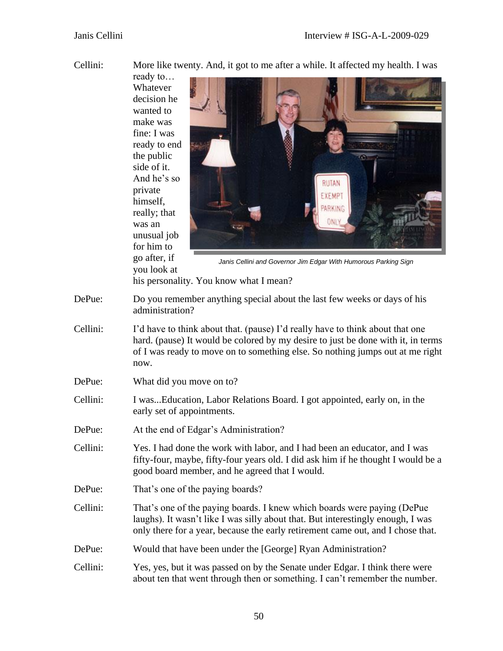Cellini: More like twenty. And, it got to me after a while. It affected my health. I was

ready to… Whatever decision he wanted to make was fine: I was ready to end the public side of it. And he's so RUTAN private EXEMPT himself, PARKING really; that ONL was an unusual job for him to go after, if *Janis Cellini and Governor Jim Edgar With Humorous Parking Sign*you look at his personality. You know what I mean? DePue: Do you remember anything special about the last few weeks or days of his administration? Cellini: I'd have to think about that. (pause) I'd really have to think about that one hard. (pause) It would be colored by my desire to just be done with it, in terms of I was ready to move on to something else. So nothing jumps out at me right now. DePue: What did you move on to? Cellini: I was...Education, Labor Relations Board. I got appointed, early on, in the early set of appointments. DePue: At the end of Edgar's Administration? Cellini: Yes. I had done the work with labor, and I had been an educator, and I was fifty-four, maybe, fifty-four years old. I did ask him if he thought I would be a good board member, and he agreed that I would. DePue: That's one of the paying boards? Cellini: That's one of the paying boards. I knew which boards were paying (DePue laughs). It wasn't like I was silly about that. But interestingly enough, I was only there for a year, because the early retirement came out, and I chose that. DePue: Would that have been under the [George] Ryan Administration? Cellini: Yes, yes, but it was passed on by the Senate under Edgar. I think there were

about ten that went through then or something. I can't remember the number.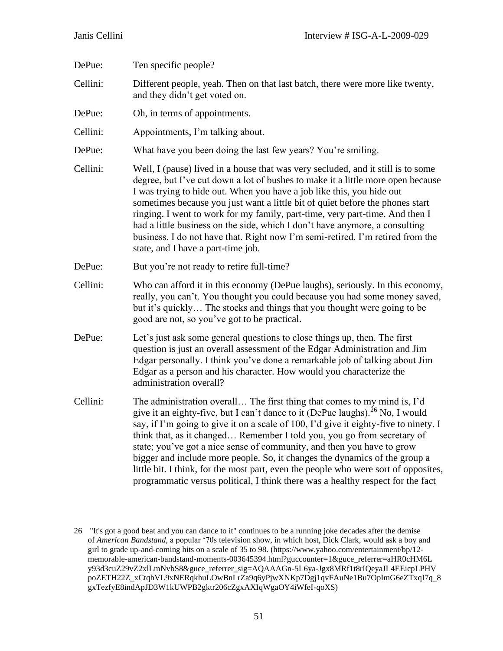| DePue:   | Ten specific people?                                                                                                                                                                                                                                                                                                                                                                                                                                                                                                                                                                                                                                                       |
|----------|----------------------------------------------------------------------------------------------------------------------------------------------------------------------------------------------------------------------------------------------------------------------------------------------------------------------------------------------------------------------------------------------------------------------------------------------------------------------------------------------------------------------------------------------------------------------------------------------------------------------------------------------------------------------------|
| Cellini: | Different people, yeah. Then on that last batch, there were more like twenty,<br>and they didn't get voted on.                                                                                                                                                                                                                                                                                                                                                                                                                                                                                                                                                             |
| DePue:   | Oh, in terms of appointments.                                                                                                                                                                                                                                                                                                                                                                                                                                                                                                                                                                                                                                              |
| Cellini: | Appointments, I'm talking about.                                                                                                                                                                                                                                                                                                                                                                                                                                                                                                                                                                                                                                           |
| DePue:   | What have you been doing the last few years? You're smiling.                                                                                                                                                                                                                                                                                                                                                                                                                                                                                                                                                                                                               |
| Cellini: | Well, I (pause) lived in a house that was very secluded, and it still is to some<br>degree, but I've cut down a lot of bushes to make it a little more open because<br>I was trying to hide out. When you have a job like this, you hide out<br>sometimes because you just want a little bit of quiet before the phones start<br>ringing. I went to work for my family, part-time, very part-time. And then I<br>had a little business on the side, which I don't have anymore, a consulting<br>business. I do not have that. Right now I'm semi-retired. I'm retired from the<br>state, and I have a part-time job.                                                       |
| DePue:   | But you're not ready to retire full-time?                                                                                                                                                                                                                                                                                                                                                                                                                                                                                                                                                                                                                                  |
| Cellini: | Who can afford it in this economy (DePue laughs), seriously. In this economy,<br>really, you can't. You thought you could because you had some money saved,<br>but it's quickly The stocks and things that you thought were going to be<br>good are not, so you've got to be practical.                                                                                                                                                                                                                                                                                                                                                                                    |
| DePue:   | Let's just ask some general questions to close things up, then. The first<br>question is just an overall assessment of the Edgar Administration and Jim<br>Edgar personally. I think you've done a remarkable job of talking about Jim<br>Edgar as a person and his character. How would you characterize the<br>administration overall?                                                                                                                                                                                                                                                                                                                                   |
| Cellini: | The administration overall The first thing that comes to my mind is, I'd<br>give it an eighty-five, but I can't dance to it (DePue laughs). <sup>26</sup> No, I would<br>say, if I'm going to give it on a scale of 100, I'd give it eighty-five to ninety. I<br>think that, as it changed Remember I told you, you go from secretary of<br>state; you've got a nice sense of community, and then you have to grow<br>bigger and include more people. So, it changes the dynamics of the group a<br>little bit. I think, for the most part, even the people who were sort of opposites,<br>programmatic versus political, I think there was a healthy respect for the fact |

<sup>26</sup> "It's got a good beat and you can dance to it" continues to be a running joke decades after the demise of *American Bandstand,* a popular '70s television show, in which host, Dick Clark, would ask a boy and girl to grade up-and-coming hits on a scale of 35 to 98. (https://www.yahoo.com/entertainment/bp/12 memorable-american-bandstand-moments-003645394.html?guccounter=1&guce\_referrer=aHR0cHM6L y93d3cuZ29vZ2xlLmNvbS8&guce\_referrer\_sig=AQAAAGn-5L6ya-Jgx8MRf1t8rIQeyaJL4EEicpLPHV poZETH22Z\_xCtqhVL9xNERqkhuLOwBnLrZa9q6yPjwXNKp7Dgj1qvFAuNe1Bu7OpImG6eZTxqI7q\_8 gxTezfyE8indApJD3W1kUWPB2gktr206cZgxAXIqWgaOY4iWfeI-qoXS)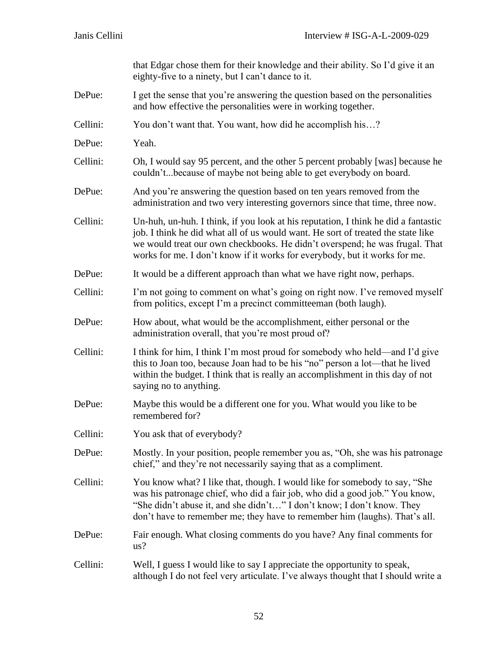|          | that Edgar chose them for their knowledge and their ability. So I'd give it an<br>eighty-five to a ninety, but I can't dance to it.                                                                                                                                                                                                 |
|----------|-------------------------------------------------------------------------------------------------------------------------------------------------------------------------------------------------------------------------------------------------------------------------------------------------------------------------------------|
| DePue:   | I get the sense that you're answering the question based on the personalities<br>and how effective the personalities were in working together.                                                                                                                                                                                      |
| Cellini: | You don't want that. You want, how did he accomplish his?                                                                                                                                                                                                                                                                           |
| DePue:   | Yeah.                                                                                                                                                                                                                                                                                                                               |
| Cellini: | Oh, I would say 95 percent, and the other 5 percent probably [was] because he<br>couldn'tbecause of maybe not being able to get everybody on board.                                                                                                                                                                                 |
| DePue:   | And you're answering the question based on ten years removed from the<br>administration and two very interesting governors since that time, three now.                                                                                                                                                                              |
| Cellini: | Un-huh, un-huh. I think, if you look at his reputation, I think he did a fantastic<br>job. I think he did what all of us would want. He sort of treated the state like<br>we would treat our own checkbooks. He didn't overspend; he was frugal. That<br>works for me. I don't know if it works for everybody, but it works for me. |
| DePue:   | It would be a different approach than what we have right now, perhaps.                                                                                                                                                                                                                                                              |
| Cellini: | I'm not going to comment on what's going on right now. I've removed myself<br>from politics, except I'm a precinct committeeman (both laugh).                                                                                                                                                                                       |
| DePue:   | How about, what would be the accomplishment, either personal or the<br>administration overall, that you're most proud of?                                                                                                                                                                                                           |
| Cellini: | I think for him, I think I'm most proud for somebody who held—and I'd give<br>this to Joan too, because Joan had to be his "no" person a lot—that he lived<br>within the budget. I think that is really an accomplishment in this day of not<br>saying no to anything.                                                              |
| DePue:   | Maybe this would be a different one for you. What would you like to be<br>remembered for?                                                                                                                                                                                                                                           |
| Cellini: | You ask that of everybody?                                                                                                                                                                                                                                                                                                          |
| DePue:   | Mostly. In your position, people remember you as, "Oh, she was his patronage<br>chief," and they're not necessarily saying that as a compliment.                                                                                                                                                                                    |
| Cellini: | You know what? I like that, though. I would like for somebody to say, "She<br>was his patronage chief, who did a fair job, who did a good job." You know,<br>"She didn't abuse it, and she didn't" I don't know; I don't know. They<br>don't have to remember me; they have to remember him (laughs). That's all.                   |
| DePue:   | Fair enough. What closing comments do you have? Any final comments for<br>us?                                                                                                                                                                                                                                                       |
| Cellini: | Well, I guess I would like to say I appreciate the opportunity to speak,<br>although I do not feel very articulate. I've always thought that I should write a                                                                                                                                                                       |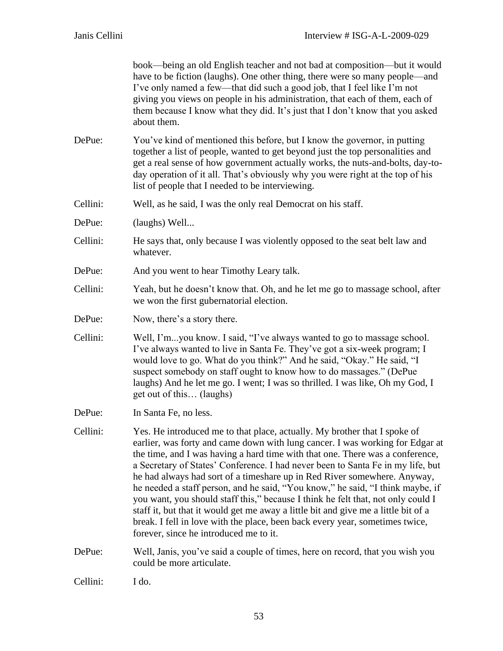book—being an old English teacher and not bad at composition—but it would have to be fiction (laughs). One other thing, there were so many people—and I've only named a few—that did such a good job, that I feel like I'm not giving you views on people in his administration, that each of them, each of them because I know what they did. It's just that I don't know that you asked about them.

- DePue: You've kind of mentioned this before, but I know the governor, in putting together a list of people, wanted to get beyond just the top personalities and get a real sense of how government actually works, the nuts-and-bolts, day-today operation of it all. That's obviously why you were right at the top of his list of people that I needed to be interviewing.
- Cellini: Well, as he said, I was the only real Democrat on his staff.
- DePue: (laughs) Well...
- Cellini: He says that, only because I was violently opposed to the seat belt law and whatever.
- DePue: And you went to hear Timothy Leary talk.
- Cellini: Yeah, but he doesn't know that. Oh, and he let me go to massage school, after we won the first gubernatorial election.
- DePue: Now, there's a story there.
- Cellini: Well, I'm...you know. I said, "I've always wanted to go to massage school. I've always wanted to live in Santa Fe. They've got a six-week program; I would love to go. What do you think?" And he said, "Okay." He said, "I suspect somebody on staff ought to know how to do massages." (DePue laughs) And he let me go. I went; I was so thrilled. I was like, Oh my God, I get out of this… (laughs)
- DePue: In Santa Fe, no less.
- Cellini: Yes. He introduced me to that place, actually. My brother that I spoke of earlier, was forty and came down with lung cancer. I was working for Edgar at the time, and I was having a hard time with that one. There was a conference, a Secretary of States' Conference. I had never been to Santa Fe in my life, but he had always had sort of a timeshare up in Red River somewhere. Anyway, he needed a staff person, and he said, "You know," he said, "I think maybe, if you want, you should staff this," because I think he felt that, not only could I staff it, but that it would get me away a little bit and give me a little bit of a break. I fell in love with the place, been back every year, sometimes twice, forever, since he introduced me to it.

DePue: Well, Janis, you've said a couple of times, here on record, that you wish you could be more articulate.

Cellini: I do.